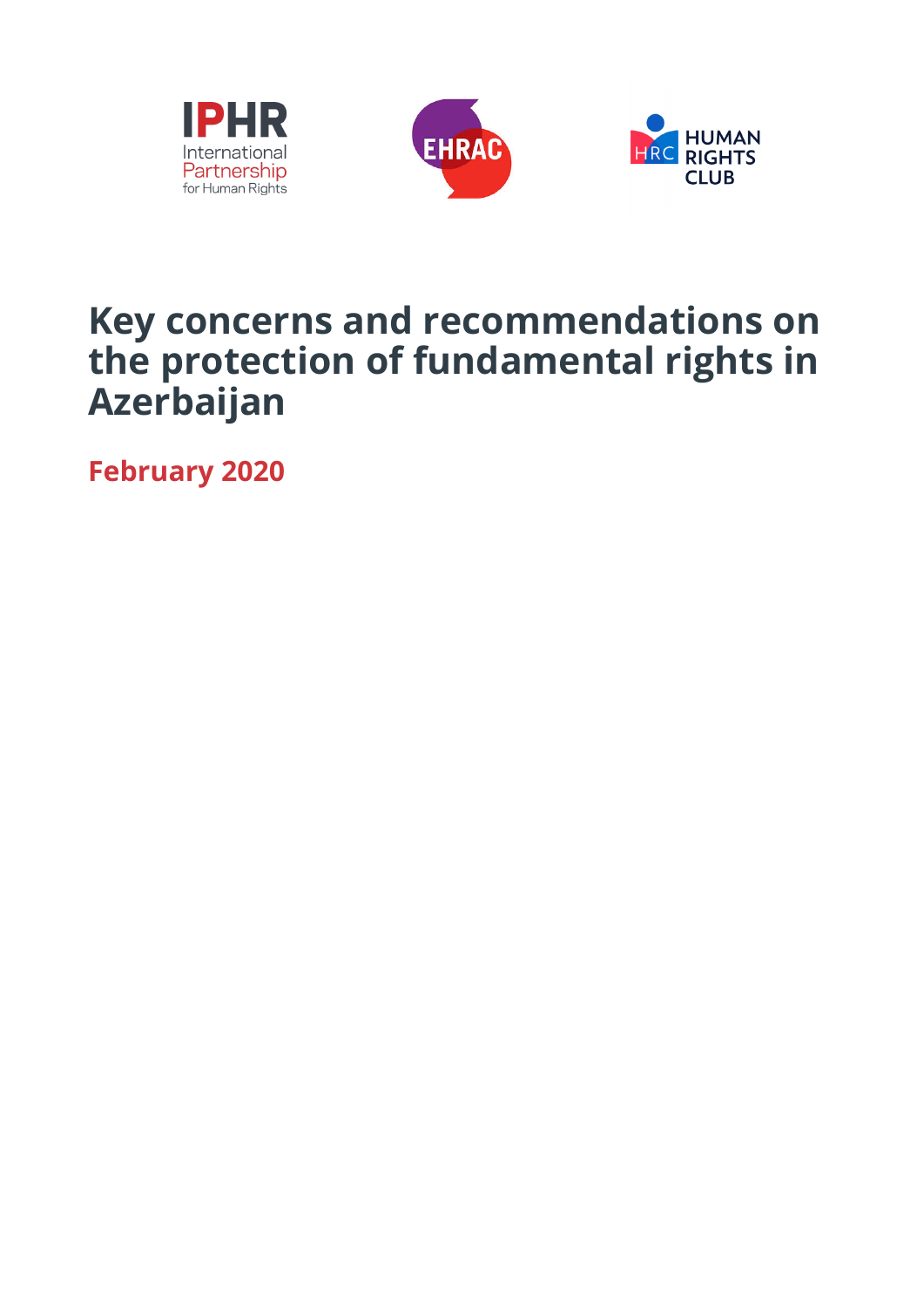





# **Key concerns and recommendations on the protection of fundamental rights in Azerbaijan**

**February 2020**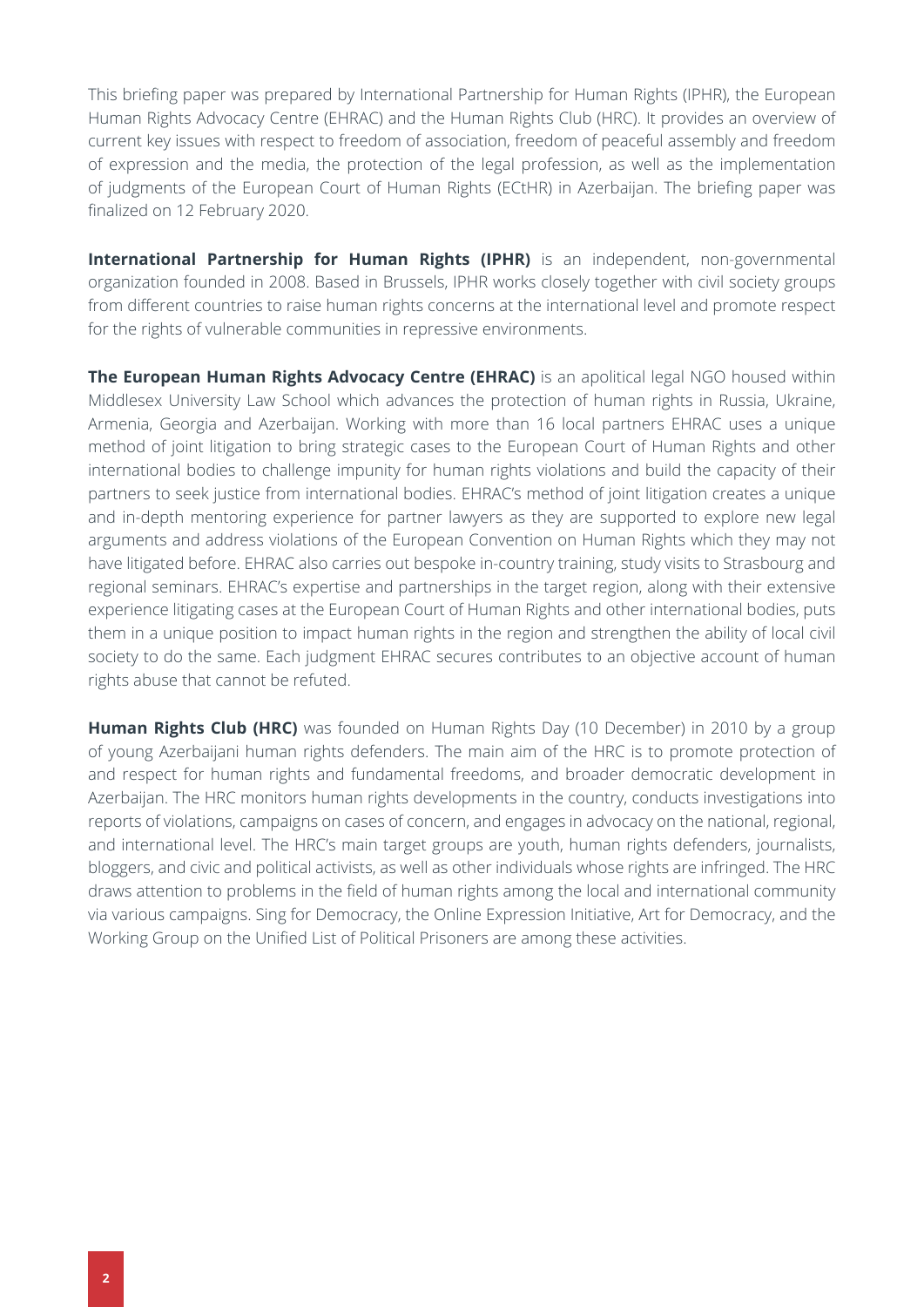This briefing paper was prepared by International Partnership for Human Rights (IPHR), the European Human Rights Advocacy Centre (EHRAC) and the Human Rights Club (HRC). It provides an overview of current key issues with respect to freedom of association, freedom of peaceful assembly and freedom of expression and the media, the protection of the legal profession, as well as the implementation of judgments of the European Court of Human Rights (ECtHR) in Azerbaijan. The briefing paper was finalized on 12 February 2020.

**International Partnership for Human Rights (IPHR)** is an independent, non-governmental organization founded in 2008. Based in Brussels, IPHR works closely together with civil society groups from different countries to raise human rights concerns at the international level and promote respect for the rights of vulnerable communities in repressive environments.

**The European Human Rights Advocacy Centre (EHRAC)** is an apolitical legal NGO housed within Middlesex University Law School which advances the protection of human rights in Russia, Ukraine, Armenia, Georgia and Azerbaijan. Working with more than 16 local partners EHRAC uses a unique method of joint litigation to bring strategic cases to the European Court of Human Rights and other international bodies to challenge impunity for human rights violations and build the capacity of their partners to seek justice from international bodies. EHRAC's method of joint litigation creates a unique and in-depth mentoring experience for partner lawyers as they are supported to explore new legal arguments and address violations of the European Convention on Human Rights which they may not have litigated before. EHRAC also carries out bespoke in-country training, study visits to Strasbourg and regional seminars. EHRAC's expertise and partnerships in the target region, along with their extensive experience litigating cases at the European Court of Human Rights and other international bodies, puts them in a unique position to impact human rights in the region and strengthen the ability of local civil society to do the same. Each judgment EHRAC secures contributes to an objective account of human rights abuse that cannot be refuted.

**Human Rights Club (HRC)** was founded on Human Rights Day (10 December) in 2010 by a group of young Azerbaijani human rights defenders. The main aim of the HRC is to promote protection of and respect for human rights and fundamental freedoms, and broader democratic development in Azerbaijan. The HRC monitors human rights developments in the country, conducts investigations into reports of violations, campaigns on cases of concern, and engages in advocacy on the national, regional, and international level. The HRC's main target groups are youth, human rights defenders, journalists, bloggers, and civic and political activists, as well as other individuals whose rights are infringed. The HRC draws attention to problems in the field of human rights among the local and international community via various campaigns. Sing for Democracy, the Online Expression Initiative, Art for Democracy, and the Working Group on the Unified List of Political Prisoners are among these activities.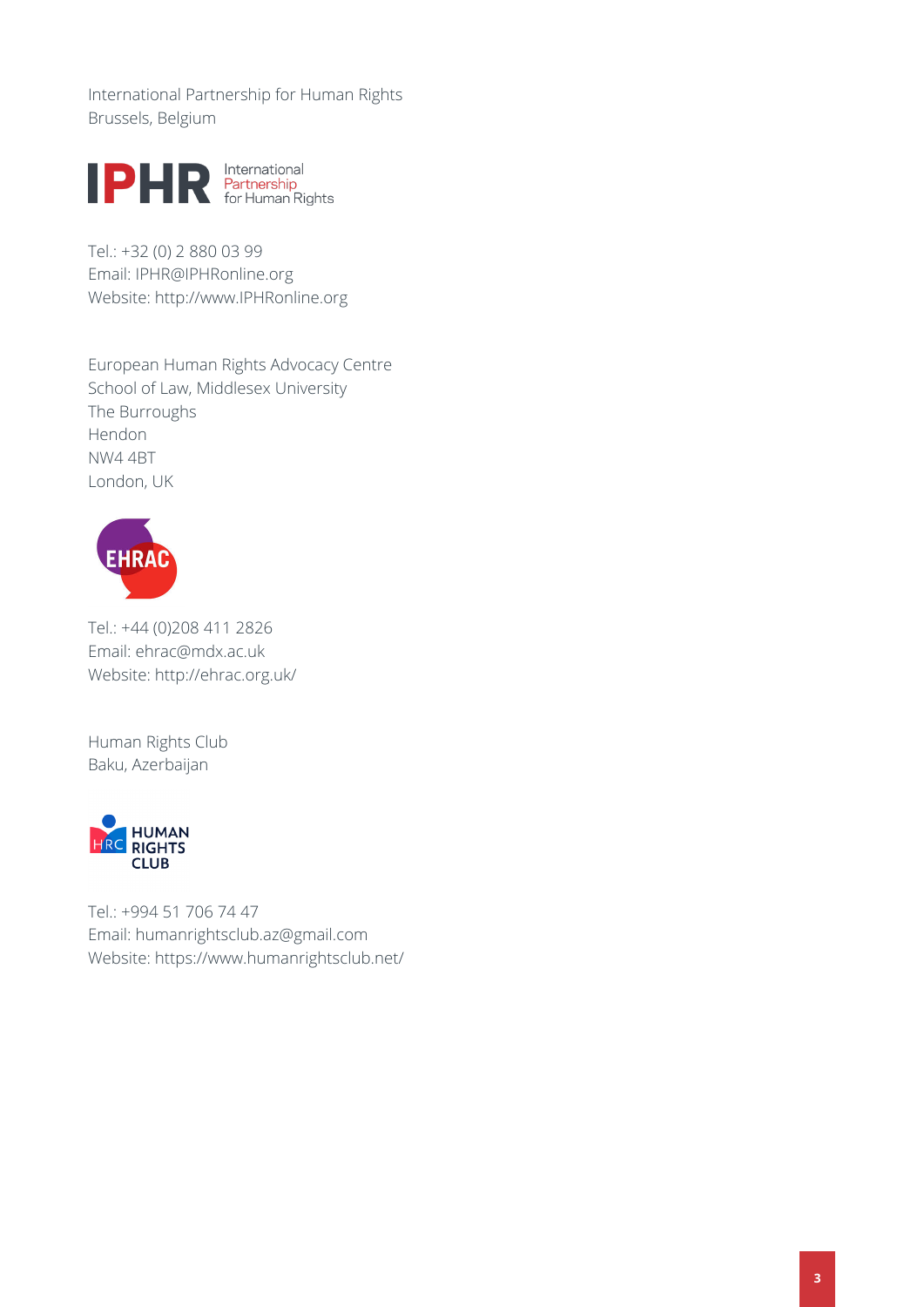International Partnership for Human Rights Brussels, Belgium



Tel.: +32 (0) 2 880 03 99 Email: [IPHR@IPHRonline.org](mailto:IPHR@IPHRonline.org) Website: <http://www.IPHRonline.org>

European Human Rights Advocacy Centre School of Law, Middlesex University The Burroughs Hendon NW4 4BT London, UK



Tel.: +44 (0)208 411 2826 Email: [ehrac@mdx.ac.uk](mailto:ehrac@mdx.ac.uk)  Website: <http://ehrac.org.uk/>

Human Rights Club Baku, Azerbaijan



Tel.: +994 51 706 74 47 Email: [humanrightsclub.az@gmail.com](mailto:humanrightsclub.az@gmail.com) Website: <https://www.humanrightsclub.net/>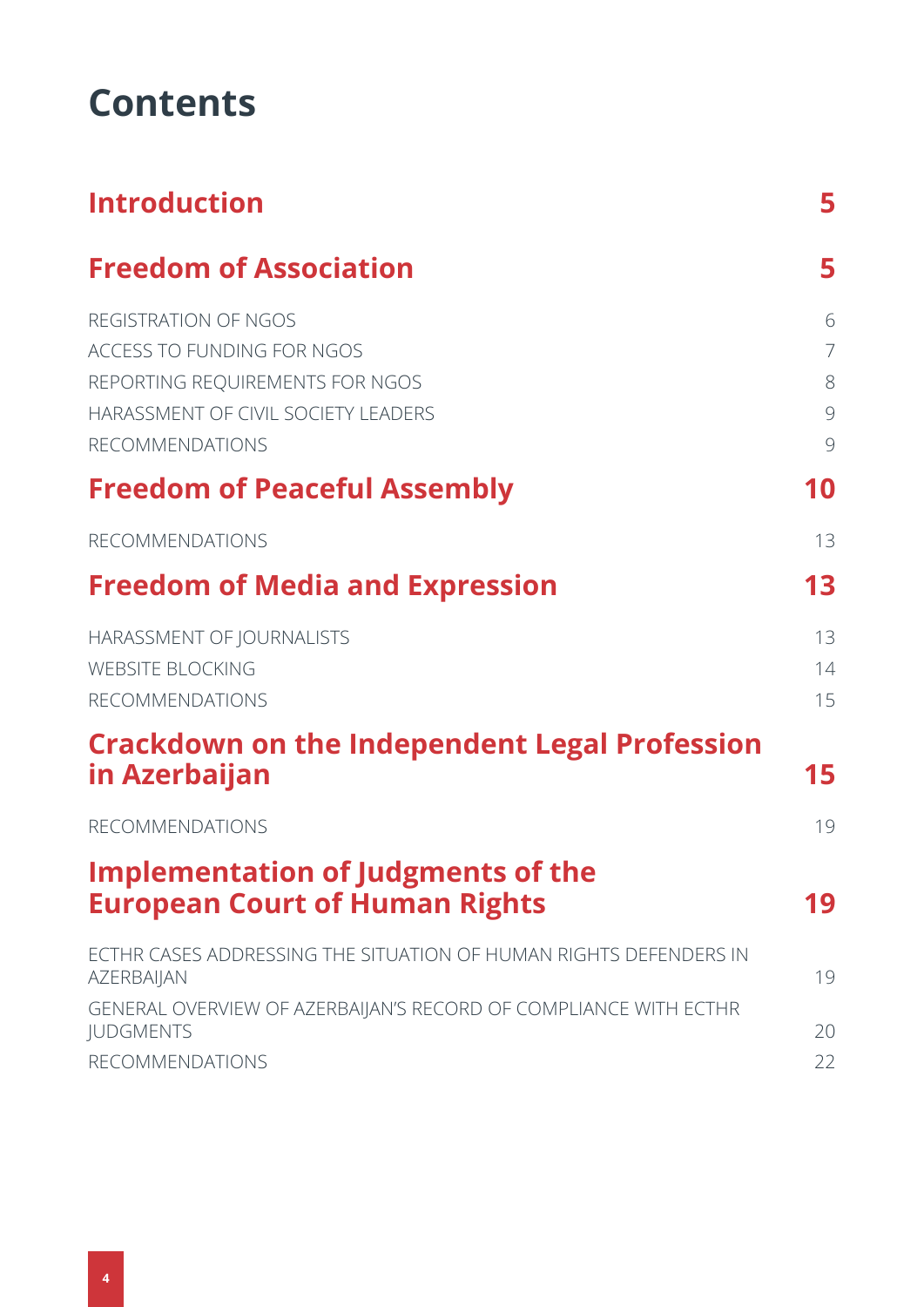# **Contents**

| <b>Introduction</b>                                                                                                                                    | 5                                  |
|--------------------------------------------------------------------------------------------------------------------------------------------------------|------------------------------------|
| <b>Freedom of Association</b>                                                                                                                          | 5                                  |
| REGISTRATION OF NGOS<br>ACCESS TO FUNDING FOR NGOS<br>REPORTING REQUIREMENTS FOR NGOS<br>HARASSMENT OF CIVIL SOCIETY LEADERS<br><b>RECOMMENDATIONS</b> | 6<br>$\overline{7}$<br>8<br>9<br>9 |
| <b>Freedom of Peaceful Assembly</b>                                                                                                                    | 10                                 |
| <b>RECOMMENDATIONS</b>                                                                                                                                 | 13                                 |
| <b>Freedom of Media and Expression</b>                                                                                                                 | 13                                 |
| HARASSMENT OF JOURNALISTS<br><b>WEBSITE BLOCKING</b><br><b>RECOMMENDATIONS</b>                                                                         | 13<br>14<br>15                     |
| <b>Crackdown on the Independent Legal Profession</b><br>in Azerbaijan                                                                                  | 15                                 |
| <b>RECOMMENDATIONS</b>                                                                                                                                 | 19                                 |
| <b>Implementation of Judgments of the</b><br><b>European Court of Human Rights</b>                                                                     | 19                                 |
| ECTHR CASES ADDRESSING THE SITUATION OF HUMAN RIGHTS DEFENDERS IN<br><b>AZERBAIJAN</b>                                                                 | 19                                 |
| GENERAL OVERVIEW OF AZERBAIJAN'S RECORD OF COMPLIANCE WITH ECTHR<br><b>JUDGMENTS</b><br><b>RECOMMENDATIONS</b>                                         | 20<br>22                           |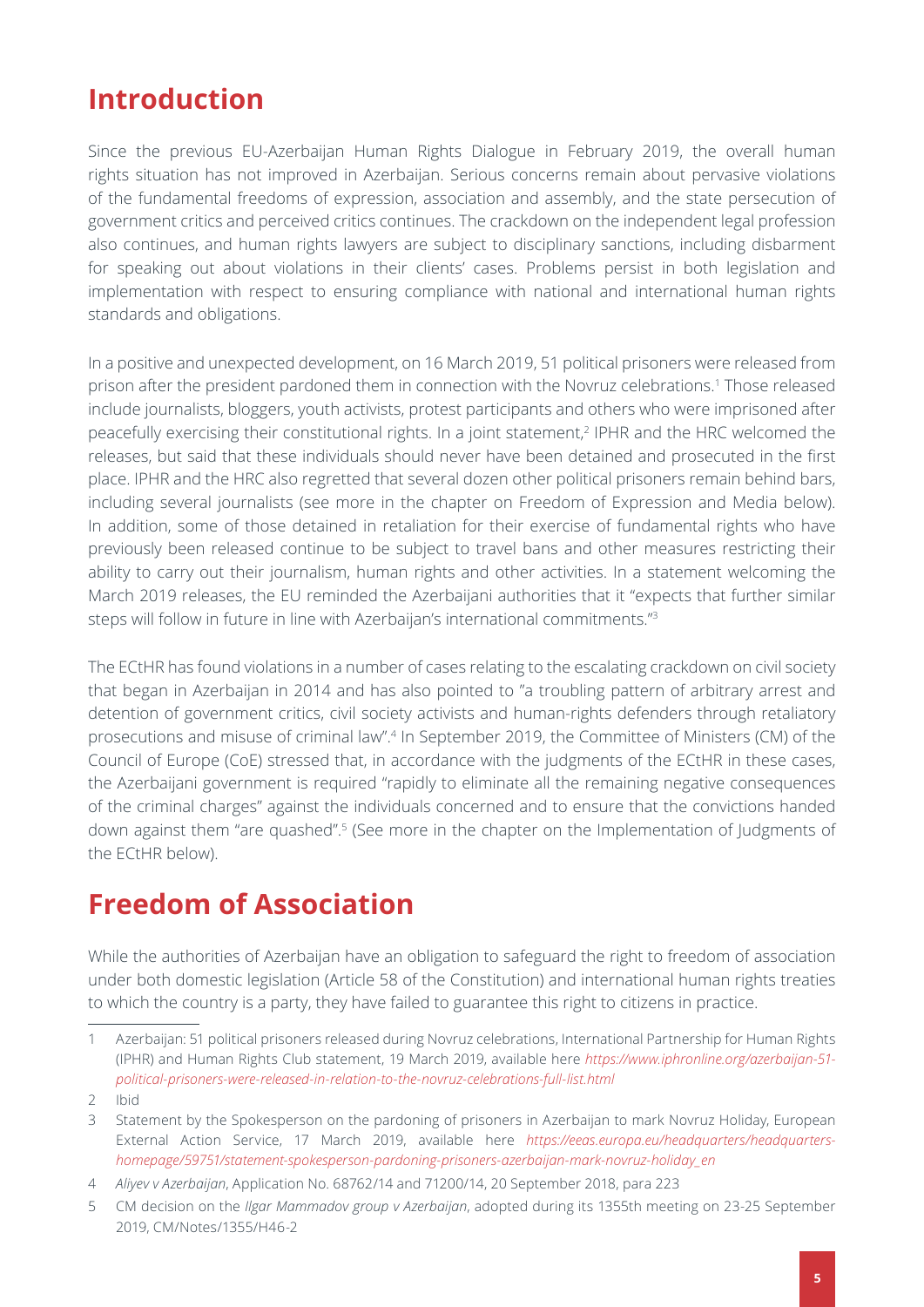# <span id="page-4-1"></span><span id="page-4-0"></span>**Introduction**

Since the previous EU-Azerbaijan Human Rights Dialogue in February 2019, the overall human rights situation has not improved in Azerbaijan. Serious concerns remain about pervasive violations of the fundamental freedoms of expression, association and assembly, and the state persecution of government critics and perceived critics continues. The crackdown on the independent legal profession also continues, and human rights lawyers are subject to disciplinary sanctions, including disbarment for speaking out about violations in their clients' cases. Problems persist in both legislation and implementation with respect to ensuring compliance with national and international human rights standards and obligations.

In a positive and unexpected development, on 16 March 2019, 51 political prisoners were released from prison after the president pardoned them in connection with the Novruz celebrations.1 Those released include journalists, bloggers, youth activists, protest participants and others who were imprisoned after peacefully exercising their constitutional rights. In a joint statement,<sup>2</sup> IPHR and the HRC welcomed the releases, but said that these individuals should never have been detained and prosecuted in the first place. IPHR and the HRC also regretted that several dozen other political prisoners remain behind bars, including several journalists (see more in the chapter on Freedom of Expression and Media below). In addition, some of those detained in retaliation for their exercise of fundamental rights who have previously been released continue to be subject to travel bans and other measures restricting their ability to carry out their journalism, human rights and other activities. In a statement welcoming the March 2019 releases, the EU reminded the Azerbaijani authorities that it "expects that further similar steps will follow in future in line with Azerbaijan's international commitments."3

The ECtHR has found violations in a number of cases relating to the escalating crackdown on civil society that began in Azerbaijan in 2014 and has also pointed to "a troubling pattern of arbitrary arrest and detention of government critics, civil society activists and human-rights defenders through retaliatory prosecutions and misuse of criminal law".4 In September 2019, the Committee of Ministers (CM) of the Council of Europe (CoE) stressed that, in accordance with the judgments of the ECtHR in these cases, the Azerbaijani government is required "rapidly to eliminate all the remaining negative consequences of the criminal charges" against the individuals concerned and to ensure that the convictions handed down against them "are quashed".<sup>5</sup> (See more in the chapter on the Implementation of Judgments of the ECtHR below).

# <span id="page-4-2"></span>**Freedom of Association**

While the authorities of Azerbaijan have an obligation to safeguard the right to freedom of association under both domestic legislation (Article 58 of the Constitution) and international human rights treaties to which the country is a party, they have failed to guarantee this right to citizens in practice.

<sup>1</sup> Azerbaijan: 51 political prisoners released during Novruz celebrations, International Partnership for Human Rights (IPHR) and Human Rights Club statement, 19 March 2019, available here *[https://www.iphronline.org/azerbaijan-51](https://www.iphronline.org/azerbaijan-51-political-prisoners-were-released-in-relation-to-the-novruz-celebrations-full-list.html) [political-prisoners-were-released-in-relation-to-the-novruz-celebrations-full-list.html](https://www.iphronline.org/azerbaijan-51-political-prisoners-were-released-in-relation-to-the-novruz-celebrations-full-list.html)*

<sup>2</sup> Ibid

<sup>3</sup> Statement by the Spokesperson on the pardoning of prisoners in Azerbaijan to mark Novruz Holiday, European External Action Service, 17 March 2019, available here *[https://eeas.europa.eu/headquarters/headquarters](https://eeas.europa.eu/headquarters/headquarters-homepage/59751/statement-spokesperson-pardoning-prisoners-azerbaijan-mark-novruz-holiday_en)[homepage/59751/statement-spokesperson-pardoning-prisoners-azerbaijan-mark-novruz-holiday\\_en](https://eeas.europa.eu/headquarters/headquarters-homepage/59751/statement-spokesperson-pardoning-prisoners-azerbaijan-mark-novruz-holiday_en)*

<sup>4</sup> *Aliyev v Azerbaijan*, Application No. 68762/14 and 71200/14, 20 September 2018, para 223

<sup>5</sup> CM decision on the *Ilgar Mammadov group v Azerbaijan*, adopted during its 1355th meeting on 23-25 September 2019, CM/Notes/1355/H46-2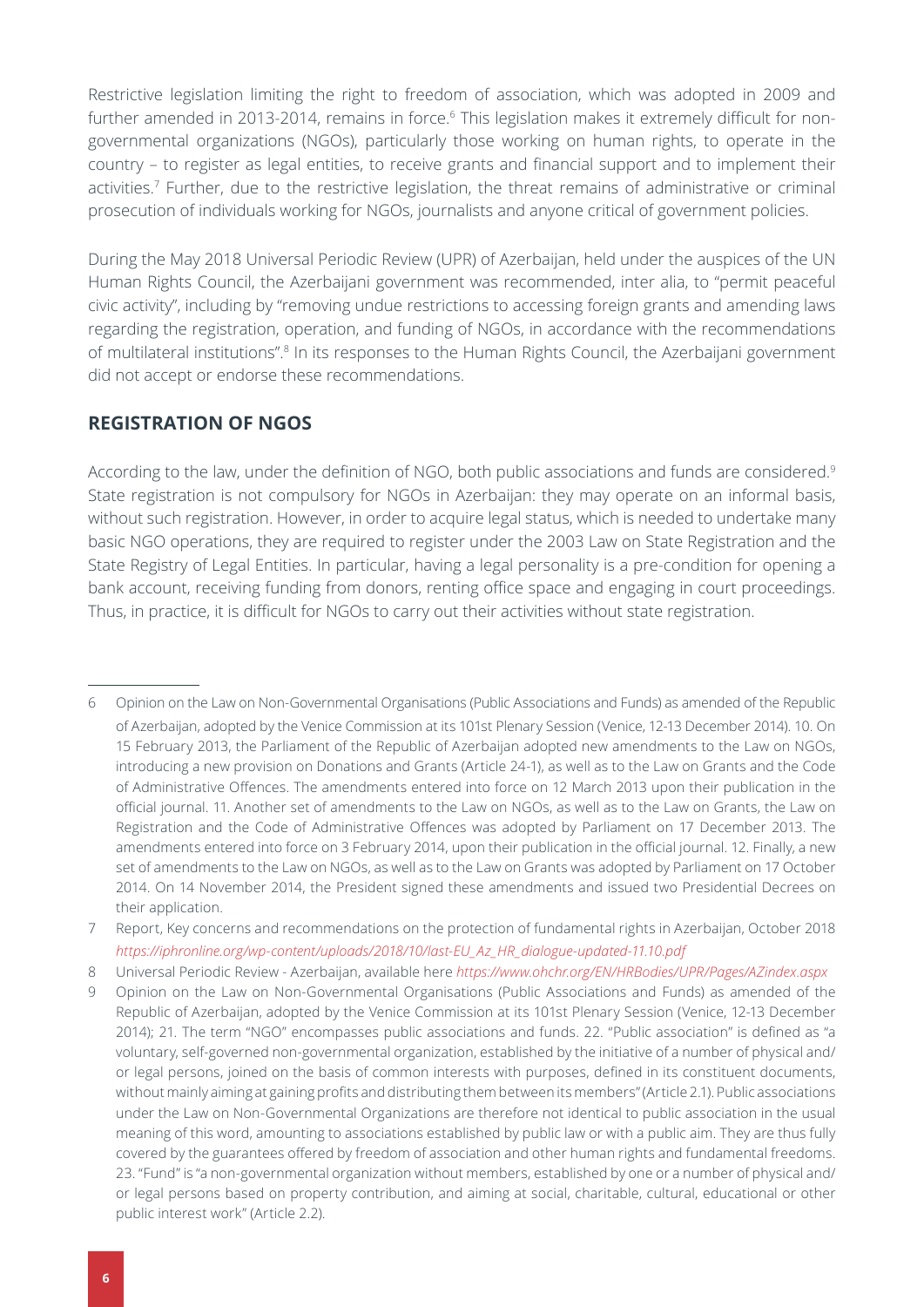<span id="page-5-1"></span>Restrictive legislation limiting the right to freedom of association, which was adopted in 2009 and further amended in 2013-2014, remains in force.<sup>6</sup> This legislation makes it extremely difficult for nongovernmental organizations (NGOs), particularly those working on human rights, to operate in the country – to register as legal entities, to receive grants and financial support and to implement their activities.<sup>7</sup> Further, due to the restrictive legislation, the threat remains of administrative or criminal prosecution of individuals working for NGOs, journalists and anyone critical of government policies.

During the May 2018 Universal Periodic Review (UPR) of Azerbaijan, held under the auspices of the UN Human Rights Council, the Azerbaijani government was recommended, inter alia, to "permit peaceful civic activity", including by "removing undue restrictions to accessing foreign grants and amending laws regarding the registration, operation, and funding of NGOs, in accordance with the recommendations of multilateral institutions".<sup>8</sup> In its responses to the Human Rights Council, the Azerbaijani government did not accept or endorse these recommendations.

### <span id="page-5-0"></span>**REGISTRATION OF NGOS**

According to the law, under the definition of NGO, both public associations and funds are considered.<sup>9</sup> State registration is not compulsory for NGOs in Azerbaijan: they may operate on an informal basis, without such registration. However, in order to acquire legal status, which is needed to undertake many basic NGO operations, they are required to register under the 2003 Law on State Registration and the State Registry of Legal Entities. In particular, having a legal personality is a pre-condition for opening a bank account, receiving funding from donors, renting office space and engaging in court proceedings. Thus, in practice, it is difficult for NGOs to carry out their activities without state registration.

<sup>6</sup> [Opinion on the Law on Non-Governmental Organisations \(Public Associations and Funds\)](https://www.venice.coe.int/webforms/documents/?pdf=CDL-AD(2014)043-e) as amended of the Republic of Azerbaijan, adopted by the Venice Commission at its 101st Plenary Session (Venice, 12-13 December 2014). 10. On 15 February 2013, the Parliament of the Republic of Azerbaijan adopted new amendments to the Law on NGOs, introducing a new provision on Donations and Grants (Article 24-1), as well as to the Law on Grants and the Code of Administrative Offences. The amendments entered into force on 12 March 2013 upon their publication in the official journal. 11. Another set of amendments to the Law on NGOs, as well as to the Law on Grants, the Law on Registration and the Code of Administrative Offences was adopted by Parliament on 17 December 2013. The amendments entered into force on 3 February 2014, upon their publication in the official journal. 12. Finally, a new set of amendments to the Law on NGOs, as well as to the Law on Grants was adopted by Parliament on 17 October 2014. On 14 November 2014, the President signed these amendments and issued two Presidential Decrees on their application.

<sup>7</sup> Report, Key concerns and recommendations on the protection of fundamental rights in Azerbaijan, October 2018 *[https://iphronline.org/wp-content/uploads/2018/10/last-EU\\_Az\\_HR\\_dialogue-updated-11.10.pdf](https://iphronline.org/wp-content/uploads/2018/10/last-EU_Az_HR_dialogue-updated-11.10.pdf)*

<sup>8</sup> Universal Periodic Review - Azerbaijan, available here *https://www.ohchr.org/EN/HRBodies/UPR/Pages/AZindex.aspx*

<sup>9</sup> [Opinion on the Law on Non-Governmental Organisations \(Public Associations and Funds\)](https://www.venice.coe.int/webforms/documents/?pdf=CDL-AD(2014)043-e) as amended of the Republic of Azerbaijan, adopted by the Venice Commission at its 101st Plenary Session (Venice, 12-13 December 2014); 21. The term "NGO" encompasses public associations and funds. 22. "Public association" is defined as "a voluntary, self-governed non-governmental organization, established by the initiative of a number of physical and/ or legal persons, joined on the basis of common interests with purposes, defined in its constituent documents, without mainly aiming at gaining profits and distributing them between its members" (Article 2.1). Public associations under the Law on Non-Governmental Organizations are therefore not identical to public association in the usual meaning of this word, amounting to associations established by public law or with a public aim. They are thus fully covered by the guarantees offered by freedom of association and other human rights and fundamental freedoms. 23. "Fund" is "a non-governmental organization without members, established by one or a number of physical and/ or legal persons based on property contribution, and aiming at social, charitable, cultural, educational or other public interest work" (Article 2.2).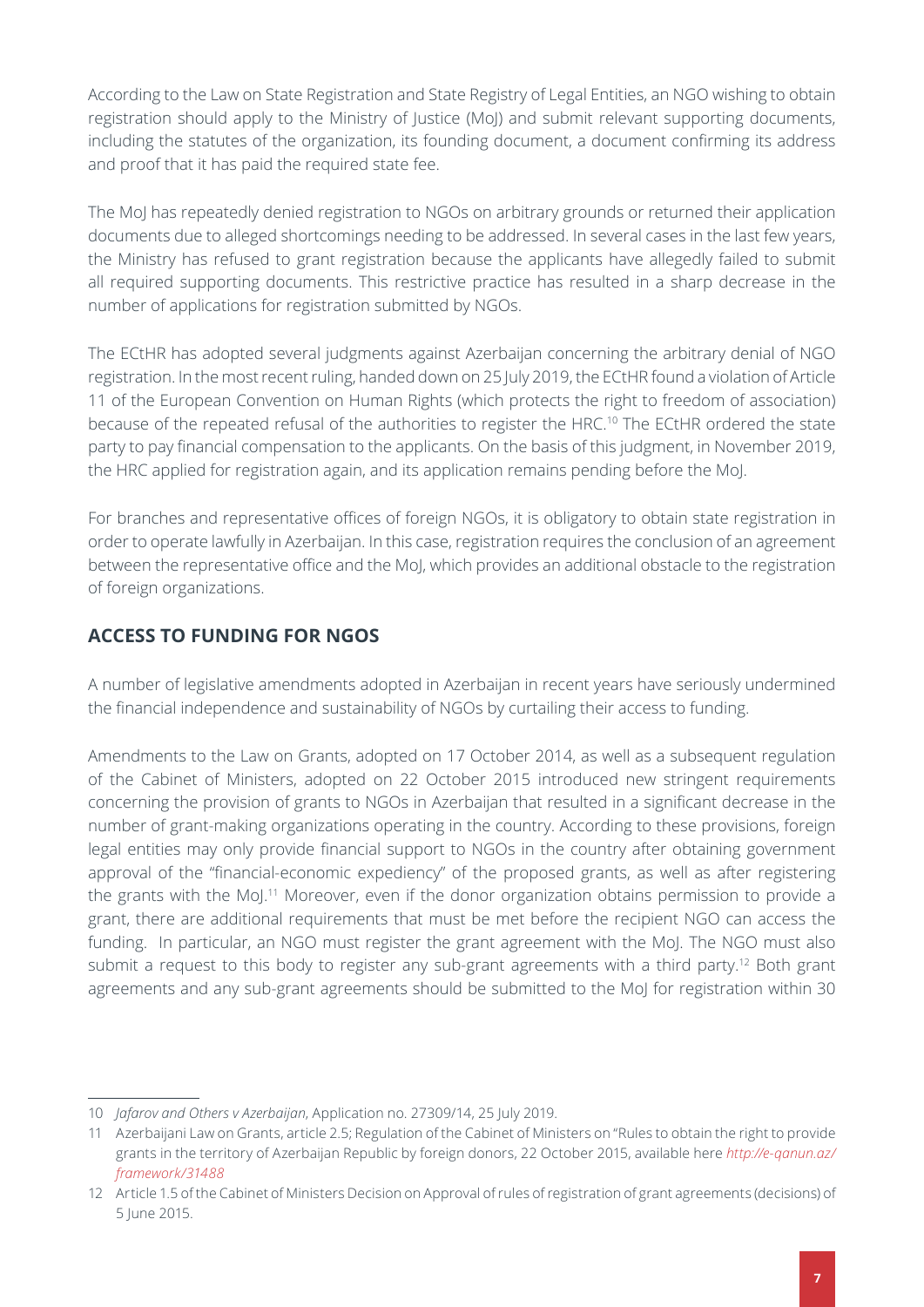<span id="page-6-1"></span>According to the Law on State Registration and State Registry of Legal Entities, an NGO wishing to obtain registration should apply to the Ministry of Justice (MoJ) and submit relevant supporting documents, including the statutes of the organization, its founding document, a document confirming its address and proof that it has paid the required state fee.

The MoJ has repeatedly denied registration to NGOs on arbitrary grounds or returned their application documents due to alleged shortcomings needing to be addressed. In several cases in the last few years, the Ministry has refused to grant registration because the applicants have allegedly failed to submit all required supporting documents. This restrictive practice has resulted in a sharp decrease in the number of applications for registration submitted by NGOs.

The ECtHR has adopted several judgments against Azerbaijan concerning the arbitrary denial of NGO registration. In the most recent ruling, handed down on 25 July 2019, the ECtHR found a violation of Article 11 of the European Convention on Human Rights (which protects the right to freedom of association) because of the repeated refusal of the authorities to register the HRC.<sup>10</sup> The ECtHR ordered the state party to pay financial compensation to the applicants. On the basis of this judgment, in November 2019, the HRC applied for registration again, and its application remains pending before the MoJ.

For branches and representative offices of foreign NGOs, it is obligatory to obtain state registration in order to operate lawfully in Azerbaijan. In this case, registration requires the conclusion of an agreement between the representative office and the MoJ, which provides an additional obstacle to the registration of foreign organizations.

## <span id="page-6-0"></span>**ACCESS TO FUNDING FOR NGOS**

A number of legislative amendments adopted in Azerbaijan in recent years have seriously undermined the financial independence and sustainability of NGOs by curtailing their access to funding.

Amendments to the Law on Grants, adopted on 17 October 2014, as well as a subsequent regulation of the Cabinet of Ministers, adopted on 22 October 2015 introduced new stringent requirements concerning the provision of grants to NGOs in Azerbaijan that resulted in a significant decrease in the number of grant-making organizations operating in the country. According to these provisions, foreign legal entities may only provide financial support to NGOs in the country after obtaining government approval of the "financial-economic expediency" of the proposed grants, as well as after registering the grants with the MoJ.<sup>11</sup> Moreover, even if the donor organization obtains permission to provide a grant, there are additional requirements that must be met before the recipient NGO can access the funding. In particular, an NGO must register the grant agreement with the MoJ. The NGO must also submit a request to this body to register any sub-grant agreements with a third party.<sup>12</sup> Both grant agreements and any sub-grant agreements should be submitted to the MoJ for registration within 30

<sup>10</sup> *Jafarov and Others v Azerbaijan*, Application no. 27309/14, 25 July 2019.

<sup>11</sup> Azerbaijani Law on Grants, article 2.5; Regulation of the Cabinet of Ministers on "Rules to obtain the right to provide grants in the territory of Azerbaijan Republic by foreign donors, 22 October 2015, available here *http://e-qanun.az/ framework/31488*

<sup>12</sup> Article 1.5 of the Cabinet of Ministers Decision on Approval of rules of registration of grant agreements (decisions) of 5 June 2015.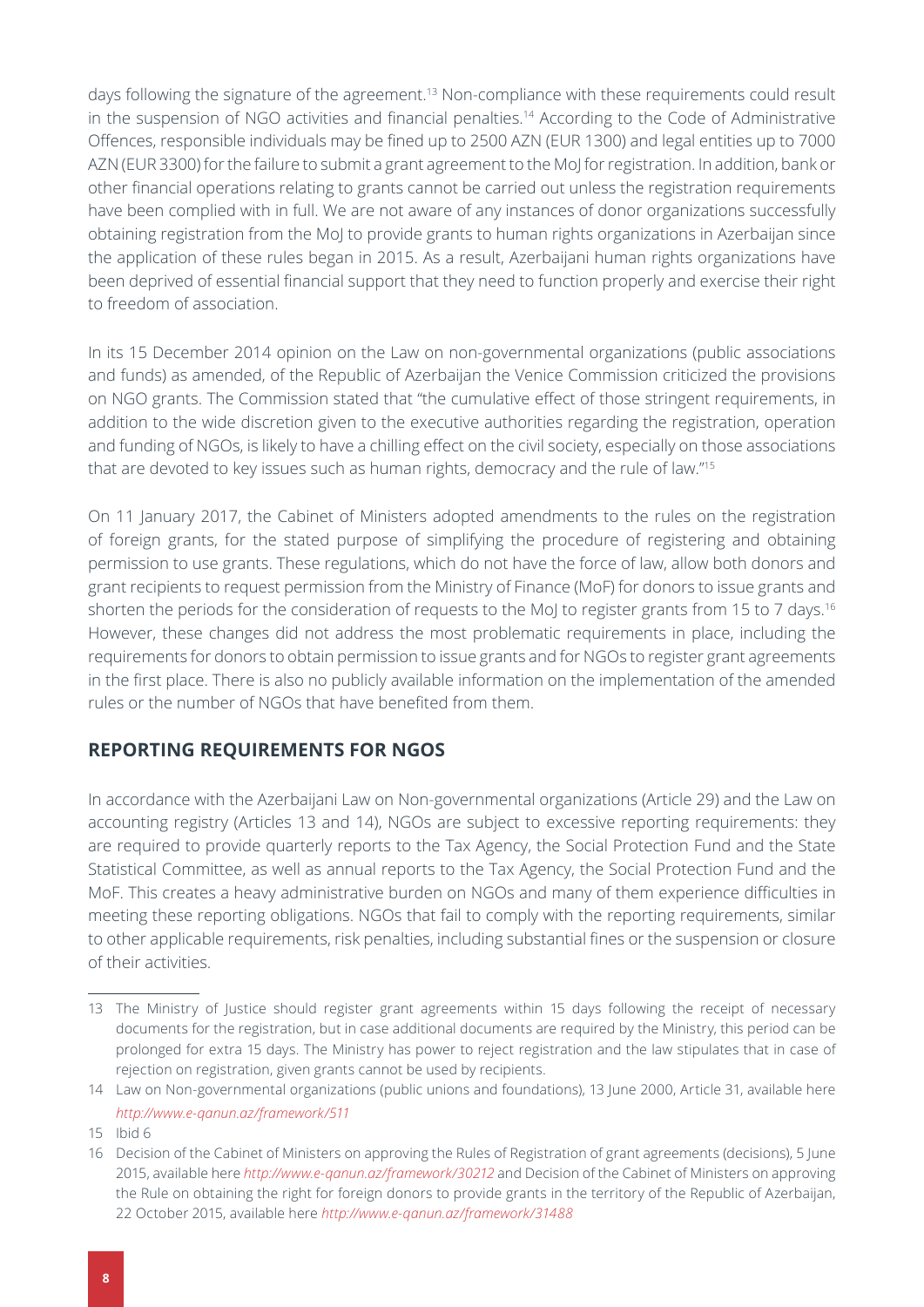<span id="page-7-1"></span>days following the signature of the agreement.<sup>13</sup> Non-compliance with these requirements could result in the suspension of NGO activities and financial penalties.<sup>14</sup> According to the Code of Administrative Offences, responsible individuals may be fined up to 2500 AZN (EUR 1300) and legal entities up to 7000 AZN (EUR 3300) for the failure to submit a grant agreement to the MoJ for registration. In addition, bank or other financial operations relating to grants cannot be carried out unless the registration requirements have been complied with in full. We are not aware of any instances of donor organizations successfully obtaining registration from the MoJ to provide grants to human rights organizations in Azerbaijan since the application of these rules began in 2015. As a result, Azerbaijani human rights organizations have been deprived of essential financial support that they need to function properly and exercise their right to freedom of association.

In its 15 December 2014 opinion on the Law on non-governmental organizations (public associations and funds) as amended, of the Republic of Azerbaijan the Venice Commission criticized the provisions on NGO grants. The Commission stated that "the cumulative effect of those stringent requirements, in addition to the wide discretion given to the executive authorities regarding the registration, operation and funding of NGOs, is likely to have a chilling effect on the civil society, especially on those associations that are devoted to key issues such as human rights, democracy and the rule of law."15

On 11 January 2017, the Cabinet of Ministers adopted amendments to the rules on the registration of foreign grants, for the stated purpose of simplifying the procedure of registering and obtaining permission to use grants. These regulations, which do not have the force of law, allow both donors and grant recipients to request permission from the Ministry of Finance (MoF) for donors to issue grants and shorten the periods for the consideration of requests to the MoJ to register grants from 15 to 7 days.<sup>16</sup> However, these changes did not address the most problematic requirements in place, including the requirements for donors to obtain permission to issue grants and for NGOs to register grant agreements in the first place. There is also no publicly available information on the implementation of the amended rules or the number of NGOs that have benefited from them.

### <span id="page-7-0"></span>**REPORTING REQUIREMENTS FOR NGOS**

In accordance with the Azerbaijani Law on Non-governmental organizations (Article 29) and the Law on accounting registry (Articles 13 and 14), NGOs are subject to excessive reporting requirements: they are required to provide quarterly reports to the Tax Agency, the Social Protection Fund and the State Statistical Committee, as well as annual reports to the Tax Agency, the Social Protection Fund and the MoF. This creates a heavy administrative burden on NGOs and many of them experience difficulties in meeting these reporting obligations. NGOs that fail to comply with the reporting requirements, similar to other applicable requirements, risk penalties, including substantial fines or the suspension or closure of their activities.

<sup>13</sup> The Ministry of Justice should register grant agreements within 15 days following the receipt of necessary documents for the registration, but in case additional documents are required by the Ministry, this period can be prolonged for extra 15 days. The Ministry has power to reject registration and the law stipulates that in case of rejection on registration, given grants cannot be used by recipients.

<sup>14</sup> Law on Non-governmental organizations (public unions and foundations), 13 June 2000, Article 31, available here *<http://www.e-qanun.az/framework/511>*

<sup>15</sup> Ibid 6

<sup>16</sup> Decision of the Cabinet of Ministers on approving the Rules of Registration of grant agreements (decisions), 5 June 2015, available here *<http://www.e-qanun.az/framework/30212>* and Decision of the Cabinet of Ministers on approving the Rule on obtaining the right for foreign donors to provide grants in the territory of the Republic of Azerbaijan, 22 October 2015, available here *<http://www.e-qanun.az/framework/31488>*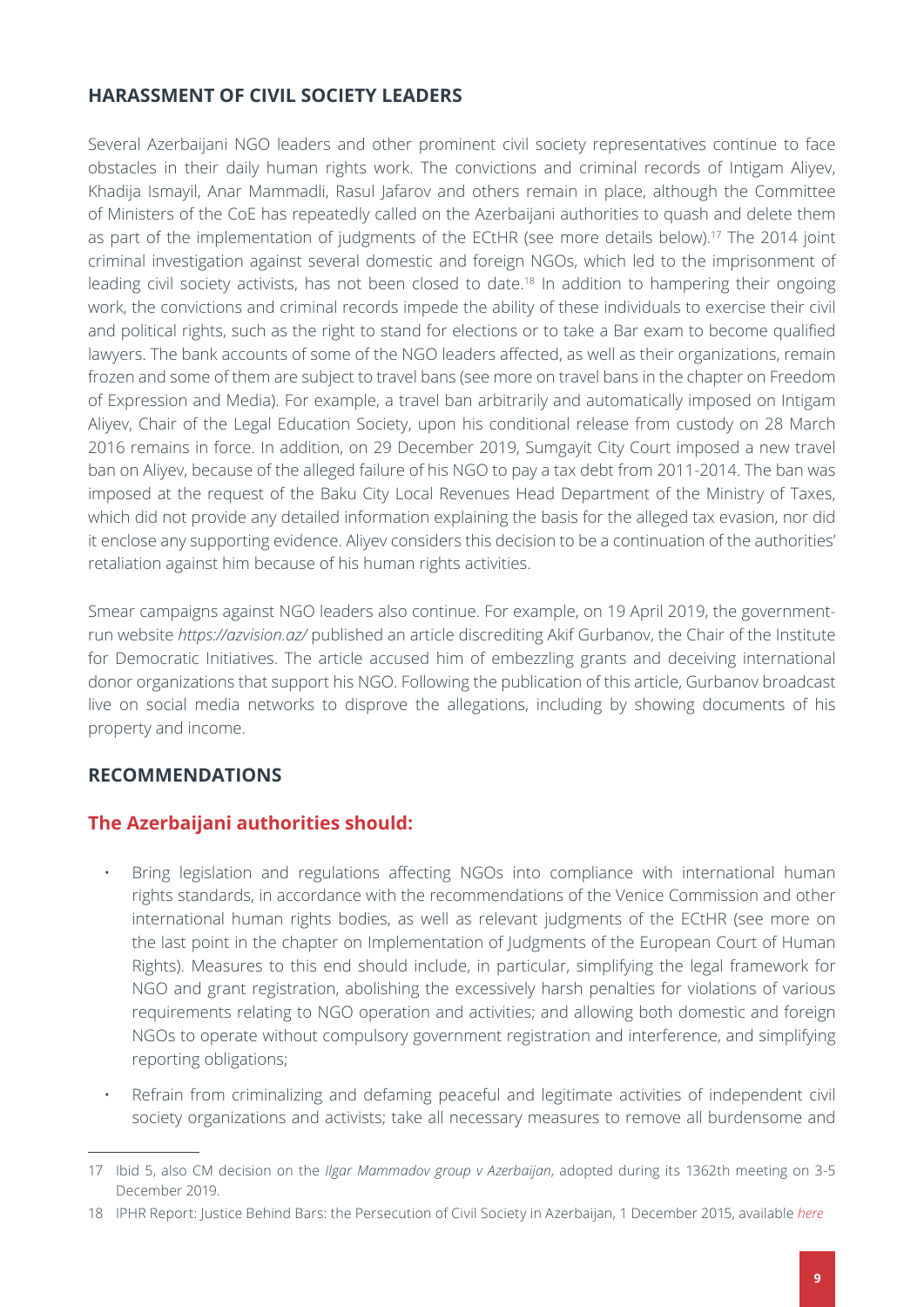### <span id="page-8-1"></span><span id="page-8-0"></span>**HARASSMENT OF CIVIL SOCIETY LEADERS**

Several Azerbaijani NGO leaders and other prominent civil society representatives continue to face obstacles in their daily human rights work. The convictions and criminal records of Intigam Aliyev, Khadija Ismayil, Anar Mammadli, Rasul Jafarov and others remain in place, although the Committee of Ministers of the CoE has repeatedly called on the Azerbaijani authorities to quash and delete them as part of the implementation of judgments of the ECtHR (see more details below).<sup>17</sup> The 2014 joint criminal investigation against several domestic and foreign NGOs, which led to the imprisonment of leading civil society activists, has not been closed to date.18 In addition to hampering their ongoing work, the convictions and criminal records impede the ability of these individuals to exercise their civil and political rights, such as the right to stand for elections or to take a Bar exam to become qualified lawyers. The bank accounts of some of the NGO leaders affected, as well as their organizations, remain frozen and some of them are subject to travel bans (see more on travel bans in the chapter on Freedom of Expression and Media). For example, a travel ban arbitrarily and automatically imposed on Intigam Aliyev, Chair of the Legal Education Society, upon his conditional release from custody on 28 March 2016 remains in force. In addition, on 29 December 2019, Sumgayit City Court imposed a new travel ban on Aliyev, because of the alleged failure of his NGO to pay a tax debt from 2011-2014. The ban was imposed at the request of the Baku City Local Revenues Head Department of the Ministry of Taxes, which did not provide any detailed information explaining the basis for the alleged tax evasion, nor did it enclose any supporting evidence. Aliyev considers this decision to be a continuation of the authorities' retaliation against him because of his human rights activities.

Smear campaigns against NGO leaders also continue. For example, on 19 April 2019, the governmentrun website *<https://azvision.az/>* published an article discrediting Akif Gurbanov, the Chair of the Institute for Democratic Initiatives. The article accused him of embezzling grants and deceiving international donor organizations that support his NGO. Following the publication of this article, Gurbanov broadcast live on social media networks to disprove the allegations, including by showing documents of his property and income.

### <span id="page-8-2"></span>**RECOMMENDATIONS**

### **The Azerbaijani authorities should:**

- Bring legislation and regulations affecting NGOs into compliance with international human rights standards, in accordance with the recommendations of the Venice Commission and other international human rights bodies, as well as relevant judgments of the ECtHR (see more on the last point in the chapter on Implementation of Judgments of the European Court of Human Rights). Measures to this end should include, in particular, simplifying the legal framework for NGO and grant registration, abolishing the excessively harsh penalties for violations of various requirements relating to NGO operation and activities; and allowing both domestic and foreign NGOs to operate without compulsory government registration and interference, and simplifying reporting obligations;
- Refrain from criminalizing and defaming peaceful and legitimate activities of independent civil society organizations and activists; take all necessary measures to remove all burdensome and

<sup>17</sup> Ibid 5, also CM decision on the *Ilgar Mammadov group v Azerbaijan*, adopted during its 1362th meeting on 3-5 December 2019.

<sup>18</sup> IPHR Report: Justice Behind Bars: the Persecution of Civil Society in Azerbaijan, 1 December 2015, available *[here](https://iphronline.org/wp-content/uploads/2015/12/Azerbaijan-Justice-Behind-Bars-December-2015.pdf)*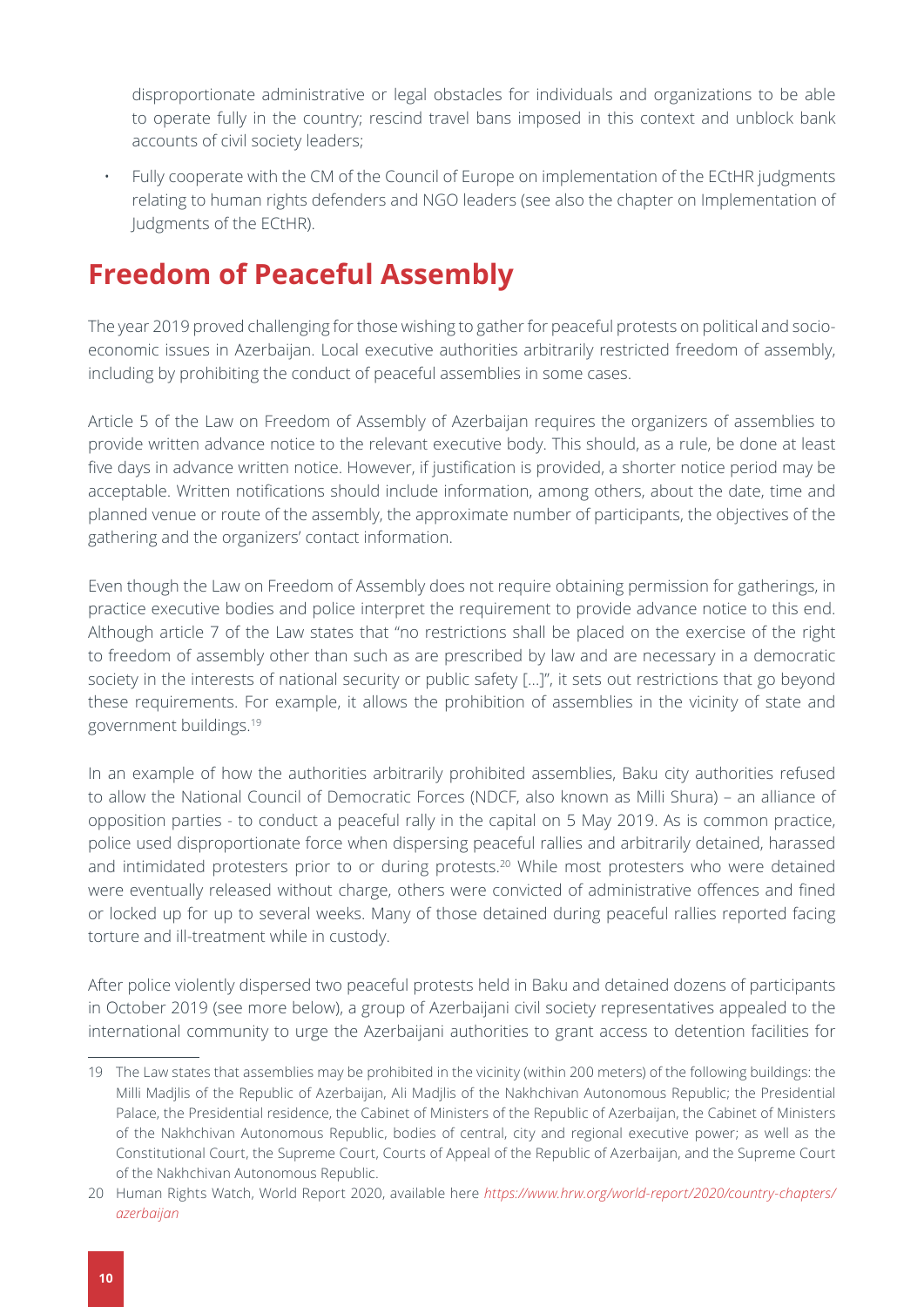<span id="page-9-1"></span>disproportionate administrative or legal obstacles for individuals and organizations to be able to operate fully in the country; rescind travel bans imposed in this context and unblock bank accounts of civil society leaders;

• Fully cooperate with the CM of the Council of Europe on implementation of the ECtHR judgments relating to human rights defenders and NGO leaders (see also the chapter on Implementation of Judgments of the ECtHR).

# <span id="page-9-0"></span>**Freedom of Peaceful Assembly**

The year 2019 proved challenging for those wishing to gather for peaceful protests on political and socioeconomic issues in Azerbaijan. Local executive authorities arbitrarily restricted freedom of assembly, including by prohibiting the conduct of peaceful assemblies in some cases.

Article 5 of the Law on Freedom of Assembly of Azerbaijan requires the organizers of assemblies to provide written advance notice to the relevant executive body. This should, as a rule, be done at least five days in advance written notice. However, if justification is provided, a shorter notice period may be acceptable. Written notifications should include information, among others, about the date, time and planned venue or route of the assembly, the approximate number of participants, the objectives of the gathering and the organizers' contact information.

Even though the Law on Freedom of Assembly does not require obtaining permission for gatherings, in practice executive bodies and police interpret the requirement to provide advance notice to this end. Although article 7 of the Law states that "no restrictions shall be placed on the exercise of the right to freedom of assembly other than such as are prescribed by law and are necessary in a democratic society in the interests of national security or public safety […]", it sets out restrictions that go beyond these requirements. For example, it allows the prohibition of assemblies in the vicinity of state and government buildings.19

In an example of how the authorities arbitrarily prohibited assemblies, Baku city authorities refused to allow the National Council of Democratic Forces (NDCF, also known as Milli Shura) – an alliance of opposition parties - to conduct a peaceful rally in the capital on 5 May 2019. As is common practice, police used disproportionate force when dispersing peaceful rallies and arbitrarily detained, harassed and intimidated protesters prior to or during protests.<sup>20</sup> While most protesters who were detained were eventually released without charge, others were convicted of administrative offences and fined or locked up for up to several weeks. Many of those detained during peaceful rallies reported facing torture and ill-treatment while in custody.

After police violently dispersed two peaceful protests held in Baku and detained dozens of participants in October 2019 (see more below), a group of Azerbaijani civil society representatives appealed to the international community to urge the Azerbaijani authorities to grant access to detention facilities for

<sup>19</sup> The Law states that assemblies may be prohibited in the vicinity (within 200 meters) of the following buildings: the Milli Madjlis of the Republic of Azerbaijan, Ali Madjlis of the Nakhchivan Autonomous Republic; the Presidential Palace, the Presidential residence, the Cabinet of Ministers of the Republic of Azerbaijan, the Cabinet of Ministers of the Nakhchivan Autonomous Republic, bodies of central, city and regional executive power; as well as the Constitutional Court, the Supreme Court, Courts of Appeal of the Republic of Azerbaijan, and the Supreme Court of the Nakhchivan Autonomous Republic.

<sup>20</sup> Human Rights Watch, World Report 2020, available here *[https://www.hrw.org/world-report/2020/country-chapters/](https://www.hrw.org/world-report/2020/country-chapters/azerbaijan) [azerbaijan](https://www.hrw.org/world-report/2020/country-chapters/azerbaijan)*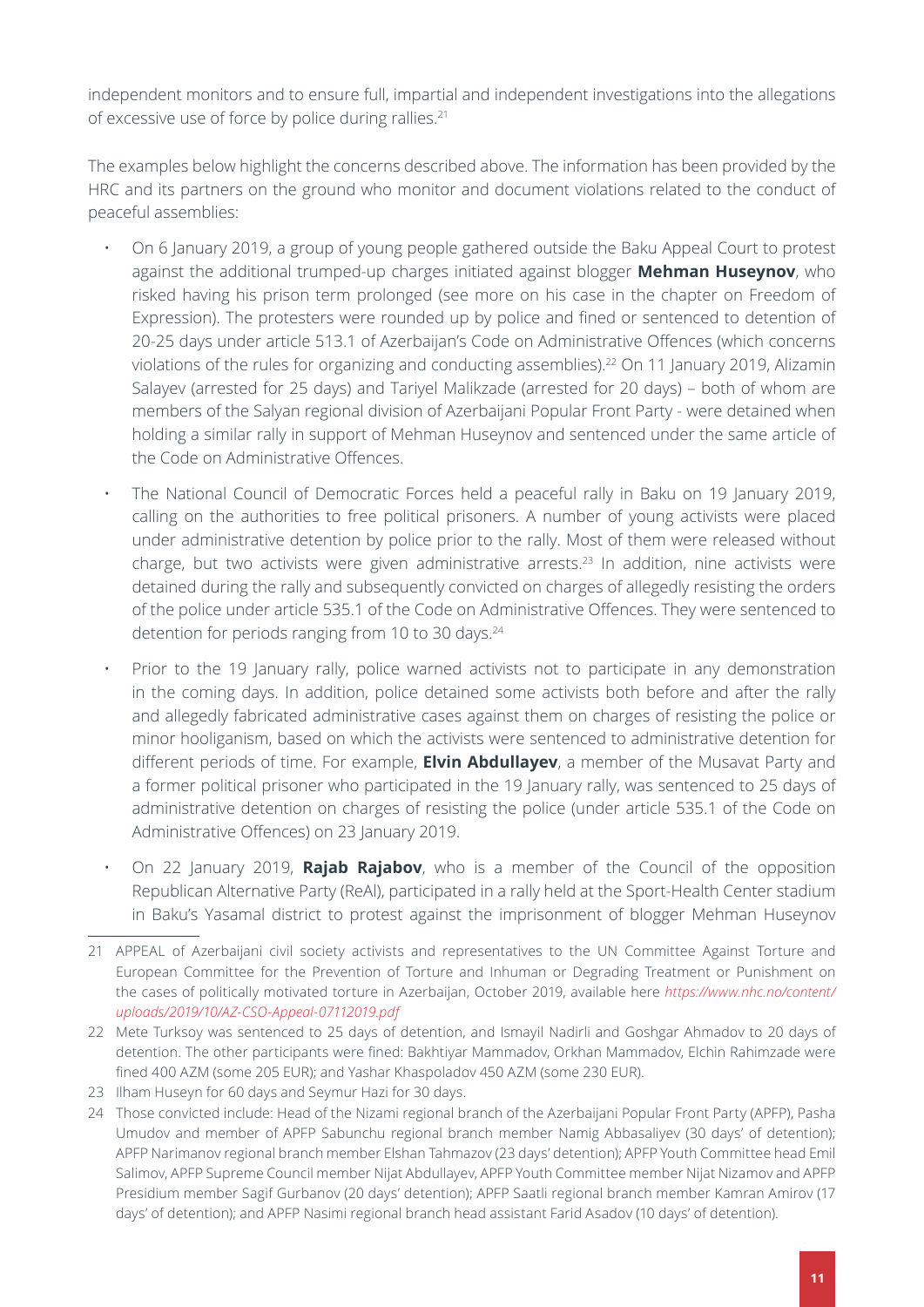independent monitors and to ensure full, impartial and independent investigations into the allegations of excessive use of force by police during rallies.21

The examples below highlight the concerns described above. The information has been provided by the HRC and its partners on the ground who monitor and document violations related to the conduct of peaceful assemblies:

- On 6 January 2019, a group of young people gathered outside the Baku Appeal Court to protest against the additional trumped-up charges initiated against blogger **Mehman Huseynov**, who risked having his prison term prolonged (see more on his case in the chapter on Freedom of Expression). The protesters were rounded up by police and fined or sentenced to detention of 20-25 days under article 513.1 of Azerbaijan's Code on Administrative Offences (which concerns violations of the rules for organizing and conducting assemblies).<sup>22</sup> On 11 January 2019, Alizamin Salayev (arrested for 25 days) and Tariyel Malikzade (arrested for 20 days) – both of whom are members of the Salyan regional division of Azerbaijani Popular Front Party - were detained when holding a similar rally in support of Mehman Huseynov and sentenced under the same article of the Code on Administrative Offences.
- The National Council of Democratic Forces held a peaceful rally in Baku on 19 January 2019, calling on the authorities to free political prisoners. A number of young activists were placed under administrative detention by police prior to the rally. Most of them were released without charge, but two activists were given administrative arrests.23 In addition, nine activists were detained during the rally and subsequently convicted on charges of allegedly resisting the orders of the police under article 535.1 of the Code on Administrative Offences. They were sentenced to detention for periods ranging from 10 to 30 days.<sup>24</sup>
- Prior to the 19 January rally, police warned activists not to participate in any demonstration in the coming days. In addition, police detained some activists both before and after the rally and allegedly fabricated administrative cases against them on charges of resisting the police or minor hooliganism, based on which the activists were sentenced to administrative detention for different periods of time. For example, **Elvin Abdullayev**, a member of the Musavat Party and a former political prisoner who participated in the 19 January rally, was sentenced to 25 days of administrative detention on charges of resisting the police (under article 535.1 of the Code on Administrative Offences) on 23 January 2019.
- On 22 January 2019, **Rajab Rajabov**, who is a member of the Council of the opposition Republican Alternative Party (ReAl), participated in a rally held at the Sport-Health Center stadium in Baku's Yasamal district to protest against the imprisonment of blogger Mehman Huseynov

<sup>21</sup> APPEAL of Azerbaijani civil society activists and representatives to the UN Committee Against Torture and European Committee for the Prevention of Torture and Inhuman or Degrading Treatment or Punishment on the cases of politically motivated torture in Azerbaijan, October 2019, available here *[https://www.nhc.no/content/](https://www.nhc.no/content/uploads/2019/10/AZ-CSO-Appeal-07112019.pdf) [uploads/2019/10/AZ-CSO-Appeal-07112019.pdf](https://www.nhc.no/content/uploads/2019/10/AZ-CSO-Appeal-07112019.pdf)* 

<sup>22</sup> Mete Turksoy was sentenced to 25 days of detention, and Ismayil Nadirli and Goshgar Ahmadov to 20 days of detention. The other participants were fined: Bakhtiyar Mammadov, Orkhan Mammadov, Elchin Rahimzade were fined 400 AZM (some 205 EUR); and Yashar Khaspoladov 450 AZM (some 230 EUR).

<sup>23</sup> Ilham Huseyn for 60 days and Seymur Hazi for 30 days.

<sup>24</sup> Those convicted include: Head of the Nizami regional branch of the Azerbaijani Popular Front Party (APFP), Pasha Umudov and member of APFP Sabunchu regional branch member Namig Abbasaliyev (30 days' of detention); APFP Narimanov regional branch member Elshan Tahmazov (23 days' detention); APFP Youth Committee head Emil Salimov, APFP Supreme Council member Nijat Abdullayev, APFP Youth Committee member Nijat Nizamov and APFP Presidium member Sagif Gurbanov (20 days' detention); APFP Saatli regional branch member Kamran Amirov (17 days' of detention); and APFP Nasimi regional branch head assistant Farid Asadov (10 days' of detention).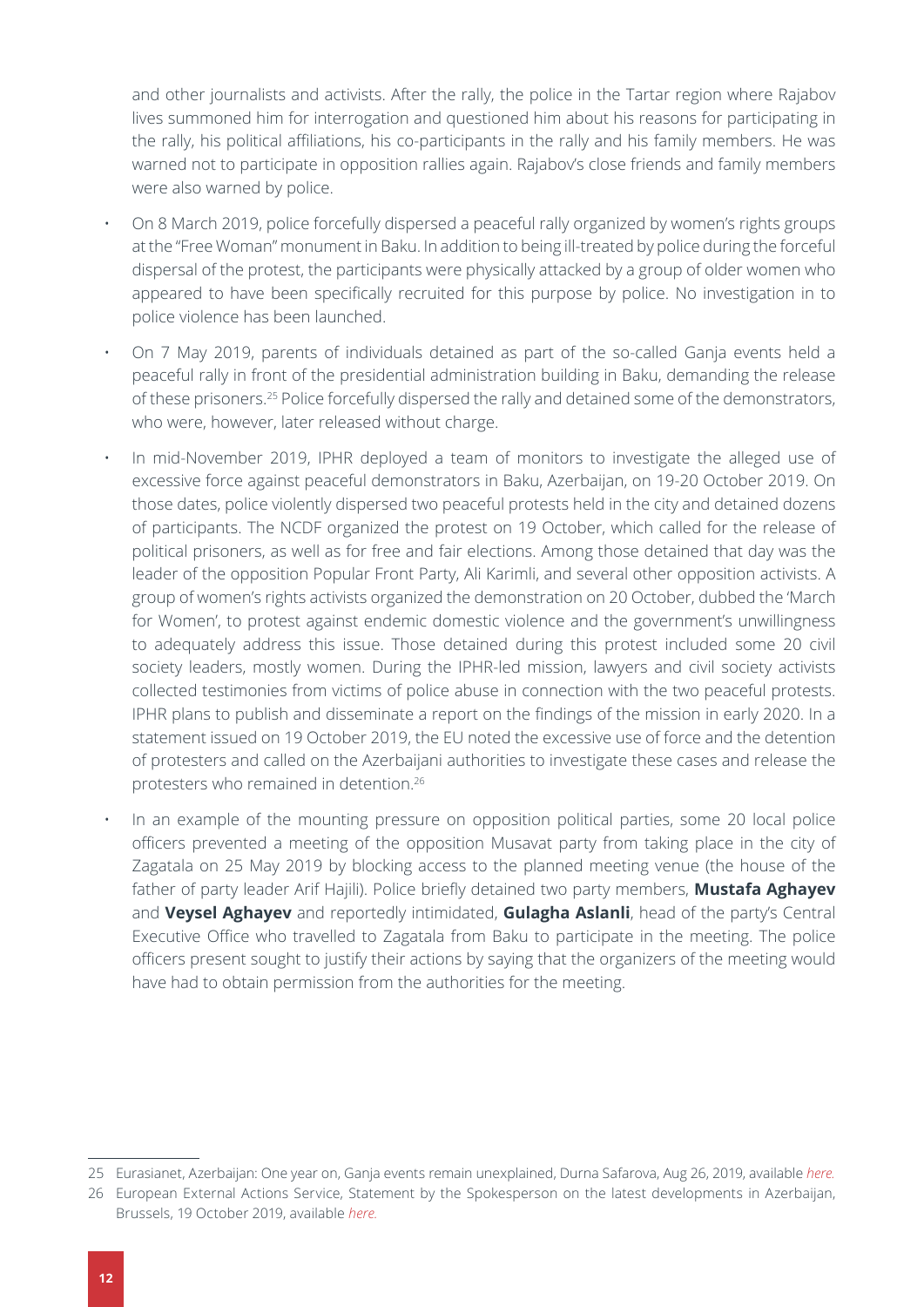and other journalists and activists. After the rally, the police in the Tartar region where Rajabov lives summoned him for interrogation and questioned him about his reasons for participating in the rally, his political affiliations, his co-participants in the rally and his family members. He was warned not to participate in opposition rallies again. Rajabov's close friends and family members were also warned by police.

- On 8 March 2019, police forcefully dispersed a peaceful rally organized by women's rights groups at the "Free Woman" monument in Baku. In addition to being ill-treated by police during the forceful dispersal of the protest, the participants were physically attacked by a group of older women who appeared to have been specifically recruited for this purpose by police. No investigation in to police violence has been launched.
- On 7 May 2019, parents of individuals detained as part of the so-called Ganja events held a peaceful rally in front of the presidential administration building in Baku, demanding the release of these prisoners.<sup>25</sup> Police forcefully dispersed the rally and detained some of the demonstrators, who were, however, later released without charge.
- In mid-November 2019, IPHR deployed a team of monitors to investigate the alleged use of excessive force against peaceful demonstrators in Baku, Azerbaijan, on 19-20 October 2019. On those dates, police violently dispersed two peaceful protests held in the city and detained dozens of participants. The NCDF organized the protest on 19 October, which called for the release of political prisoners, as well as for free and fair elections. Among those detained that day was the leader of the opposition Popular Front Party, Ali Karimli, and several other opposition activists. A group of women's rights activists organized the demonstration on 20 October, dubbed the 'March for Women', to protest against endemic domestic violence and the government's unwillingness to adequately address this issue. Those detained during this protest included some 20 civil society leaders, mostly women. During the IPHR-led mission, lawyers and civil society activists collected testimonies from victims of police abuse in connection with the two peaceful protests. IPHR plans to publish and disseminate a report on the findings of the mission in early 2020. In a statement issued on 19 October 2019, the EU noted the excessive use of force and the detention of protesters and called on the Azerbaijani authorities to investigate these cases and release the protesters who remained in detention.26
	- In an example of the mounting pressure on opposition political parties, some 20 local police officers prevented a meeting of the opposition Musavat party from taking place in the city of Zagatala on 25 May 2019 by blocking access to the planned meeting venue (the house of the father of party leader Arif Hajili). Police briefly detained two party members, **Mustafa Aghayev** and **Veysel Aghayev** and reportedly intimidated, **Gulagha Aslanli**, head of the party's Central Executive Office who travelled to Zagatala from Baku to participate in the meeting. The police officers present sought to justify their actions by saying that the organizers of the meeting would have had to obtain permission from the authorities for the meeting.

<sup>25</sup> Eurasianet, Azerbaijan: One year on, Ganja events remain unexplained, [Durna Safarova](https://eurasianet.org/people/durna-safarova), Aug 26, 2019, available *[here](https://eurasianet.org/azerbaijan-one-year-on-ganja-events-remain-unexplained).*

<sup>26</sup> European External Actions Service, Statement by the Spokesperson on the latest developments in Azerbaijan, Brussels, 19 October 2019, available *[here](https://eeas.europa.eu/headquarters/headquarters-homepage/69107/statement-spokesperson-latest-developments-azerbaijan_en).*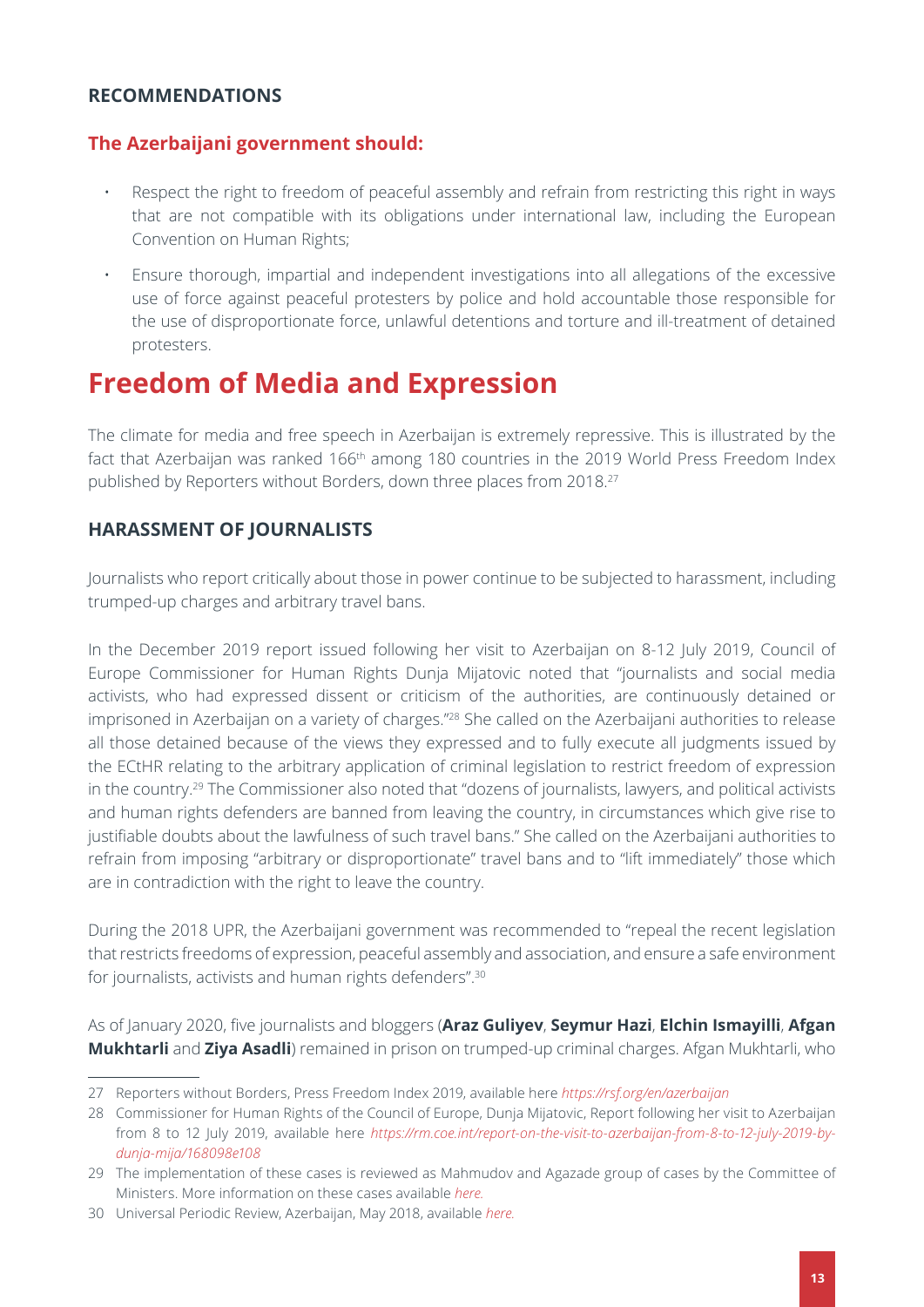### <span id="page-12-1"></span><span id="page-12-0"></span>**RECOMMENDATIONS**

### **The Azerbaijani government should:**

- Respect the right to freedom of peaceful assembly and refrain from restricting this right in ways that are not compatible with its obligations under international law, including the European Convention on Human Rights;
- Ensure thorough, impartial and independent investigations into all allegations of the excessive use of force against peaceful protesters by police and hold accountable those responsible for the use of disproportionate force, unlawful detentions and torture and ill-treatment of detained protesters.

# <span id="page-12-2"></span>**Freedom of Media and Expression**

The climate for media and free speech in Azerbaijan is extremely repressive. This is illustrated by the fact that Azerbaijan was ranked 166<sup>th</sup> among 180 countries in the 2019 World Press Freedom Index published by Reporters without Borders, down three places from 2018.<sup>27</sup>

### <span id="page-12-3"></span>**HARASSMENT OF JOURNALISTS**

Journalists who report critically about those in power continue to be subjected to harassment, including trumped-up charges and arbitrary travel bans.

In the December 2019 report issued following her visit to Azerbaijan on 8-12 July 2019, Council of Europe Commissioner for Human Rights Dunja Mijatovic noted that "journalists and social media activists, who had expressed dissent or criticism of the authorities, are continuously detained or imprisoned in Azerbaijan on a variety of charges."28 She called on the Azerbaijani authorities to release all those detained because of the views they expressed and to fully execute all judgments issued by the ECtHR relating to the arbitrary application of criminal legislation to restrict freedom of expression in the country.29 The Commissioner also noted that "dozens of journalists, lawyers, and political activists and human rights defenders are banned from leaving the country, in circumstances which give rise to justifiable doubts about the lawfulness of such travel bans." She called on the Azerbaijani authorities to refrain from imposing "arbitrary or disproportionate" travel bans and to "lift immediately" those which are in contradiction with the right to leave the country.

During the 2018 UPR, the Azerbaijani government was recommended to "repeal the recent legislation that restricts freedoms of expression, peaceful assembly and association, and ensure a safe environment for journalists, activists and human rights defenders".30

As of January 2020, five journalists and bloggers (**Araz Guliyev**, **Seymur Hazi**, **Elchin Ismayilli**, **Afgan Mukhtarli** and **Ziya Asadli**) remained in prison on trumped-up criminal charges. Afgan Mukhtarli, who

<sup>27</sup> Reporters without Borders, Press Freedom Index 2019, available here *<https://rsf.org/en/azerbaijan>*

<sup>28</sup> Commissioner for Human Rights of the Council of Europe, Dunja Mijatovic, Report following her visit to Azerbaijan from 8 to 12 July 2019, available here *[https://rm.coe.int/report-on-the-visit-to-azerbaijan-from-8-to-12-july-2019-by](https://rm.coe.int/report-on-the-visit-to-azerbaijan-from-8-to-12-july-2019-by-dunja-mija/168098e108)[dunja-mija/168098e108](https://rm.coe.int/report-on-the-visit-to-azerbaijan-from-8-to-12-july-2019-by-dunja-mija/168098e108)*

<sup>29</sup> The implementation of these cases is reviewed as Mahmudov and Agazade group of cases by the Committee of Ministers. More information on these cases available *here.*

<sup>30</sup> Universal Periodic Review, Azerbaijan, May 2018, available *[here.](https://www.ohchr.org/EN/HRBodies/UPR/Pages/AZindex.aspx)*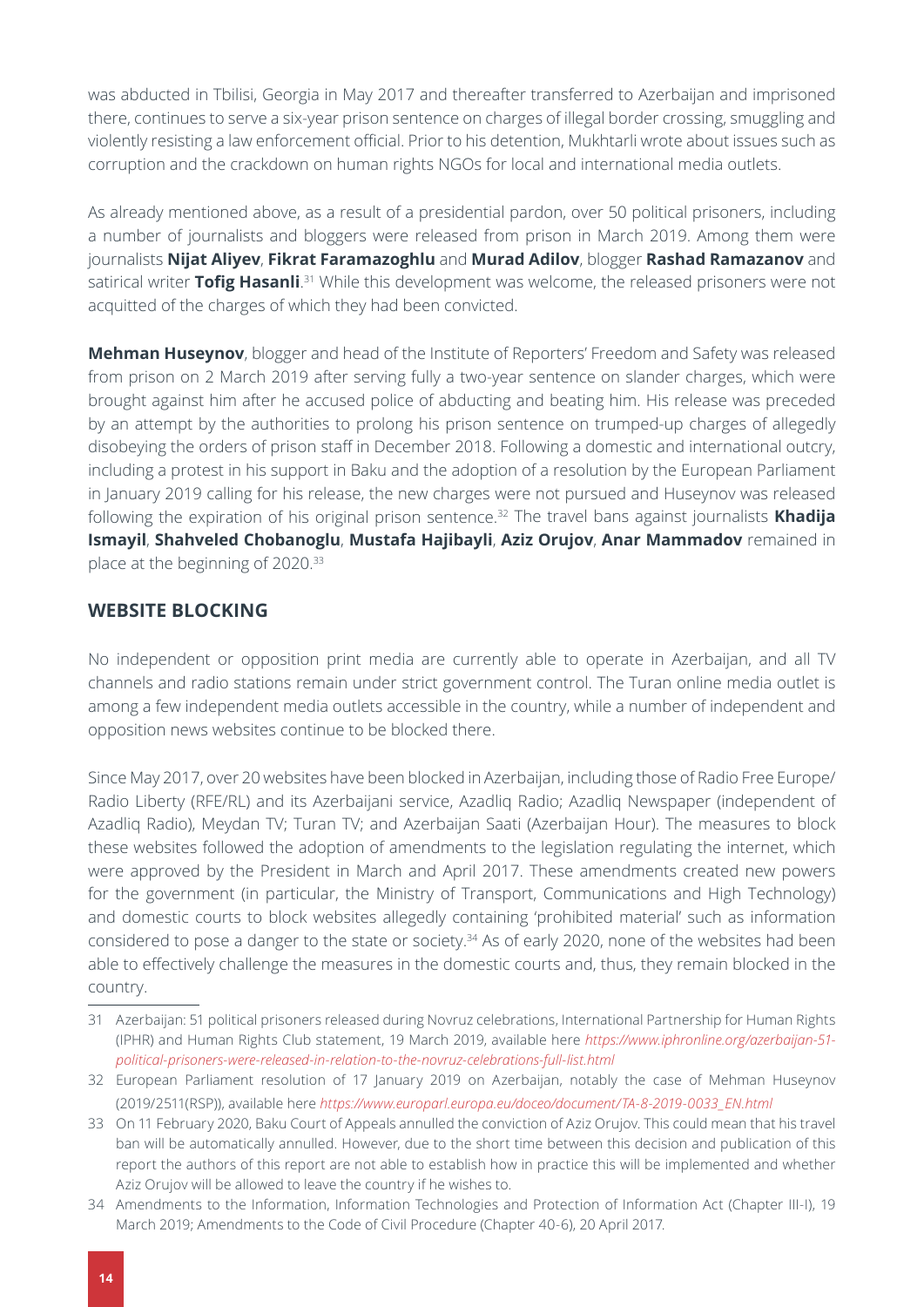<span id="page-13-1"></span>was abducted in Tbilisi, Georgia in May 2017 and thereafter transferred to Azerbaijan and imprisoned there, continues to serve a six-year prison sentence on charges of illegal border crossing, smuggling and violently resisting a law enforcement official. Prior to his detention, Mukhtarli wrote about issues such as corruption and the crackdown on human rights NGOs for local and international media outlets.

As already mentioned above, as a result of a presidential pardon, over 50 political prisoners, including a number of journalists and bloggers were released from prison in March 2019. Among them were journalists **Nijat Aliyev**, **Fikrat Faramazoghlu** and **Murad Adilov**, blogger **Rashad Ramazanov** and satirical writer **Tofig Hasanli**. 31 While this development was welcome, the released prisoners were not acquitted of the charges of which they had been convicted.

**Mehman Huseynov**, blogger and head of the Institute of Reporters' Freedom and Safety was released from prison on 2 March 2019 after serving fully a two-year sentence on slander charges, which were brought against him after he accused police of abducting and beating him. His release was preceded by an attempt by the authorities to prolong his prison sentence on trumped-up charges of allegedly disobeying the orders of prison staff in December 2018. Following a domestic and international outcry, including a protest in his support in Baku and the adoption of a resolution by the European Parliament in January 2019 calling for his release, the new charges were not pursued and Huseynov was released following the expiration of his original prison sentence.32 The travel bans against journalists **Khadija Ismayil**, **Shahveled Chobanoglu**, **Mustafa Hajibayli**, **Aziz Orujov**, **Anar Mammadov** remained in place at the beginning of 2020.33

#### <span id="page-13-0"></span>**WEBSITE BLOCKING**

No independent or opposition print media are currently able to operate in Azerbaijan, and all TV channels and radio stations remain under strict government control. The Turan online media outlet is among a few independent media outlets accessible in the country, while a number of independent and opposition news websites continue to be blocked there.

Since May 2017, over 20 websites have been blocked in Azerbaijan, including those of Radio Free Europe/ Radio Liberty (RFE/RL) and its Azerbaijani service, Azadliq Radio; Azadliq Newspaper (independent of Azadliq Radio), Meydan TV; Turan TV; and Azerbaijan Saati (Azerbaijan Hour). The measures to block these websites followed the adoption of amendments to the legislation regulating the internet, which were approved by the President in March and April 2017. These amendments created new powers for the government (in particular, the Ministry of Transport, Communications and High Technology) and domestic courts to block websites allegedly containing 'prohibited material' such as information considered to pose a danger to the state or society.<sup>34</sup> As of early 2020, none of the websites had been able to effectively challenge the measures in the domestic courts and, thus, they remain blocked in the country.

<sup>31</sup> Azerbaijan: 51 political prisoners released during Novruz celebrations, International Partnership for Human Rights (IPHR) and Human Rights Club statement, 19 March 2019, available here *[https://www.iphronline.org/azerbaijan-51](https://www.iphronline.org/azerbaijan-51-political-prisoners-were-released-in-relation-to-the-novruz-celebrations-full-list.html) [political-prisoners-were-released-in-relation-to-the-novruz-celebrations-full-list.html](https://www.iphronline.org/azerbaijan-51-political-prisoners-were-released-in-relation-to-the-novruz-celebrations-full-list.html)*

<sup>32</sup> European Parliament resolution of 17 January 2019 on Azerbaijan, notably the case of Mehman Huseynov [\(2019/2511\(RSP\)](http://www.europarl.europa.eu/oeil/popups/ficheprocedure.do?lang=en&reference=2019/2511(RSP))), available here *[https://www.europarl.europa.eu/doceo/document/TA-8-2019-0033\\_EN.html](https://www.europarl.europa.eu/doceo/document/TA-8-2019-0033_EN.html)*

<sup>33</sup> On 11 February 2020, Baku Court of Appeals annulled the conviction of Aziz Orujov. This could mean that his travel ban will be automatically annulled. However, due to the short time between this decision and publication of this report the authors of this report are not able to establish how in practice this will be implemented and whether Aziz Orujov will be allowed to leave the country if he wishes to.

<sup>34</sup> Amendments to the Information, Information Technologies and Protection of Information Act (Chapter III-I), 19 March 2019; Amendments to the Code of Civil Procedure (Chapter 40-6), 20 April 2017.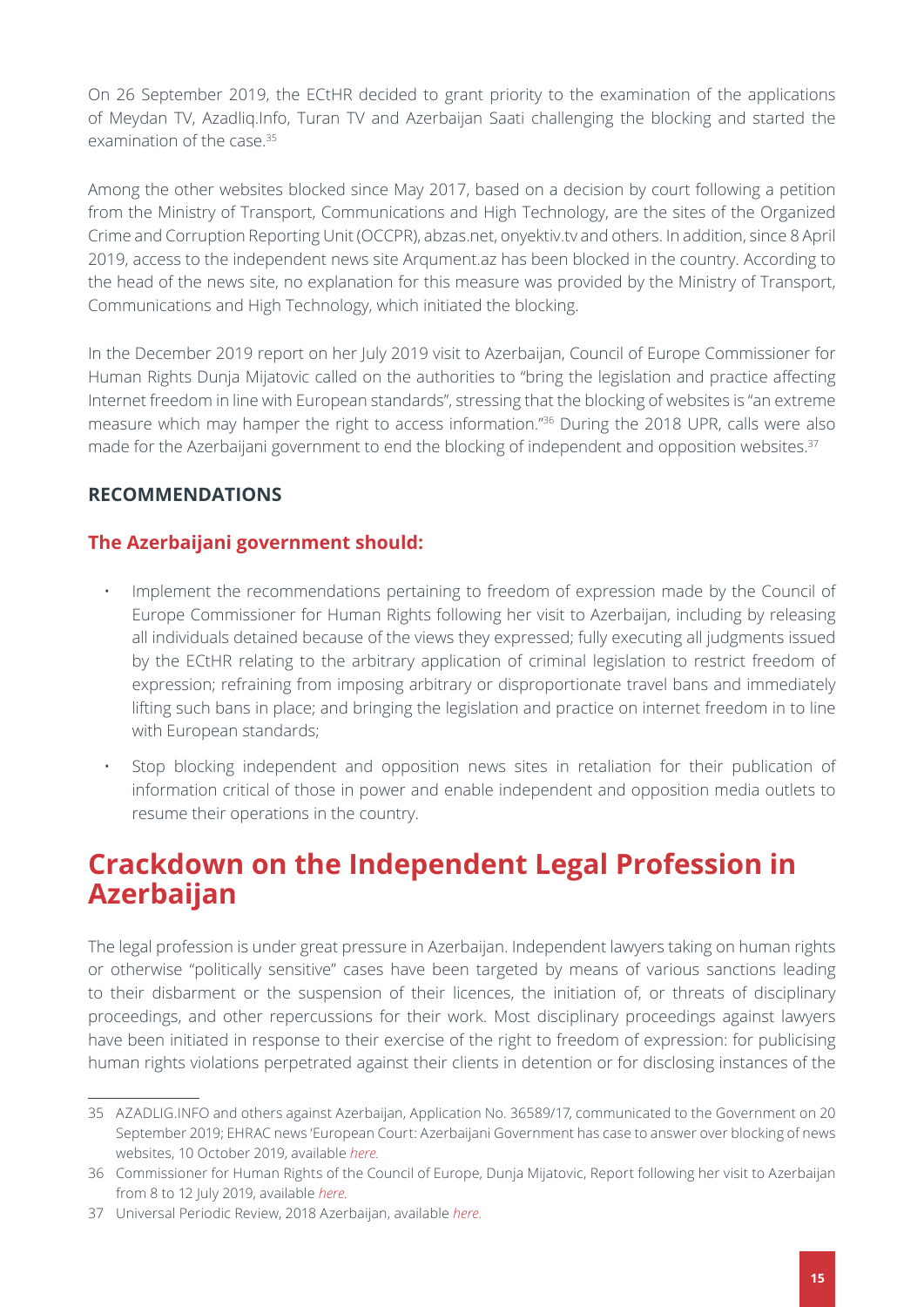<span id="page-14-1"></span>On 26 September 2019, the ECtHR decided to grant priority to the examination of the applications of Meydan TV, Azadliq.Info, Turan TV and Azerbaijan Saati challenging the blocking and started the examination of the case.<sup>35</sup>

Among the other websites blocked since May 2017, based on a decision by court following a petition from the Ministry of Transport, Communications and High Technology, are the sites of the Organized Crime and Corruption Reporting Unit (OCCPR), abzas.net, onyektiv.tv and others. In addition, since 8 April 2019, access to the independent news site Arqument.az has been blocked in the country. According to the head of the news site, no explanation for this measure was provided by the Ministry of Transport, Communications and High Technology, which initiated the blocking.

In the December 2019 report on her July 2019 visit to Azerbaijan, Council of Europe Commissioner for Human Rights Dunja Mijatovic called on the authorities to "bring the legislation and practice affecting Internet freedom in line with European standards", stressing that the blocking of websites is "an extreme measure which may hamper the right to access information."36 During the 2018 UPR, calls were also made for the Azerbaijani government to end the blocking of independent and opposition websites.<sup>37</sup>

### <span id="page-14-0"></span>**RECOMMENDATIONS**

### **The Azerbaijani government should:**

- Implement the recommendations pertaining to freedom of expression made by the Council of Europe Commissioner for Human Rights following her visit to Azerbaijan, including by releasing all individuals detained because of the views they expressed; fully executing all judgments issued by the ECtHR relating to the arbitrary application of criminal legislation to restrict freedom of expression; refraining from imposing arbitrary or disproportionate travel bans and immediately lifting such bans in place; and bringing the legislation and practice on internet freedom in to line with European standards;
- Stop blocking independent and opposition news sites in retaliation for their publication of information critical of those in power and enable independent and opposition media outlets to resume their operations in the country.

# <span id="page-14-2"></span>**Crackdown on the Independent Legal Profession in Azerbaijan**

The legal profession is under great pressure in Azerbaijan. Independent lawyers taking on human rights or otherwise "politically sensitive" cases have been targeted by means of various sanctions leading to their disbarment or the suspension of their licences, the initiation of, or threats of disciplinary proceedings, and other repercussions for their work. Most disciplinary proceedings against lawyers have been initiated in response to their exercise of the right to freedom of expression: for publicising human rights violations perpetrated against their clients in detention or for disclosing instances of the

<sup>35</sup> AZADLIG.INFO and others against Azerbaijan, Application No. 36589/17, communicated to the Government on 20 September 2019; EHRAC news 'European Court: Azerbaijani Government has case to answer over blocking of news websites, 10 October 2019, available *[here](http://ehrac.org.uk/news/european-court-azerbaijani-government-has-case-to-answer-over-blocking-of-news-websites/).*

<sup>36</sup> Commissioner for Human Rights of the Council of Europe, Dunja Mijatovic, Report following her visit to Azerbaijan from 8 to 12 July 2019, available *[here.](https://rm.coe.int/report-on-the-visit-to-azerbaijan-from-8-to-12-july-2019-by-dunja-mija/168098e108)*

<sup>37</sup> Universal Periodic Review, 2018 Azerbaijan, available *[here.](https://www.ohchr.org/EN/HRBodies/UPR/Pages/AZindex.aspx)*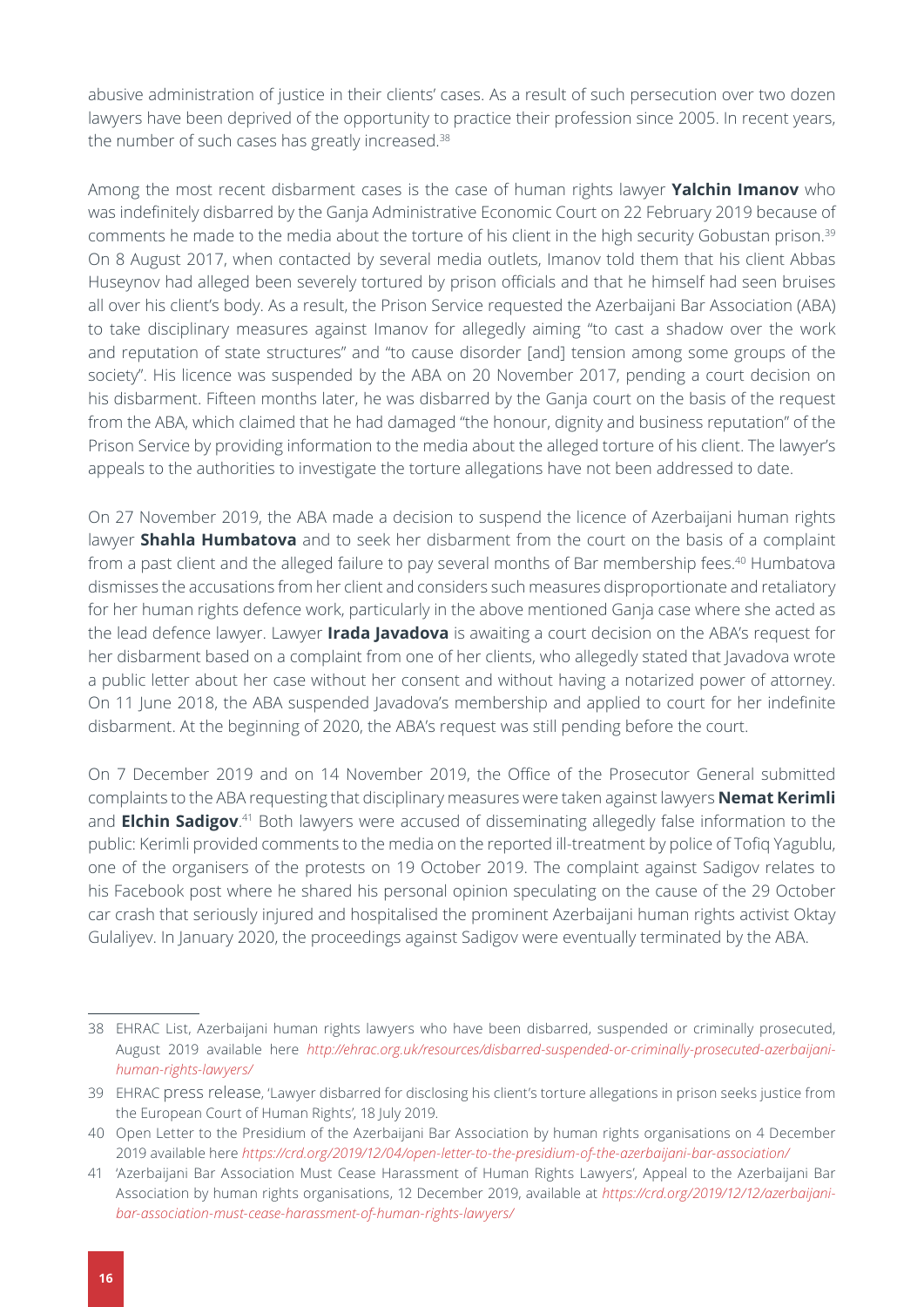abusive administration of justice in their clients' cases. As a result of such persecution over two dozen lawyers have been deprived of the opportunity to practice their profession since 2005. In recent years, the number of such cases has greatly increased.<sup>38</sup>

Among the most recent disbarment cases is the case of human rights lawyer **Yalchin Imanov** who was indefinitely disbarred by the Ganja Administrative Economic Court on 22 February 2019 because of comments he made to the media about the torture of his client in the high security Gobustan prison.39 On 8 August 2017, when contacted by several media outlets, Imanov told them that his client Abbas Huseynov had alleged been severely tortured by prison officials and that he himself had seen bruises all over his client's body. As a result, the Prison Service requested the Azerbaijani Bar Association (ABA) to take disciplinary measures against Imanov for allegedly aiming "to cast a shadow over the work and reputation of state structures" and "to cause disorder [and] tension among some groups of the society". His licence was suspended by the ABA on 20 November 2017, pending a court decision on his disbarment. Fifteen months later, he was disbarred by the Ganja court on the basis of the request from the ABA, which claimed that he had damaged "the honour, dignity and business reputation" of the Prison Service by providing information to the media about the alleged torture of his client. The lawyer's appeals to the authorities to investigate the torture allegations have not been addressed to date.

On 27 November 2019, the ABA made a decision to suspend the licence of Azerbaijani human rights lawyer **Shahla Humbatova** and to seek her disbarment from the court on the basis of a complaint from a past client and the alleged failure to pay several months of Bar membership fees.40 Humbatova dismisses the accusations from her client and considers such measures disproportionate and retaliatory for her human rights defence work, particularly in the above mentioned Ganja case where she acted as the lead defence lawyer. Lawyer **Irada Javadova** is awaiting a court decision on the ABA's request for her disbarment based on a complaint from one of her clients, who allegedly stated that Javadova wrote a public letter about her case without her consent and without having a notarized power of attorney. On 11 June 2018, the ABA suspended Javadova's membership and applied to court for her indefinite disbarment. At the beginning of 2020, the ABA's request was still pending before the court.

On 7 December 2019 and on 14 November 2019, the Office of the Prosecutor General submitted complaints to the ABA requesting that disciplinary measures were taken against lawyers **Nemat Kerimli**  and Elchin Sadigov.<sup>41</sup> Both lawyers were accused of disseminating allegedly false information to the public: Kerimli provided comments to the media on the reported ill-treatment by police of Tofiq Yagublu, one of the organisers of the protests on 19 October 2019. The complaint against Sadigov relates to his Facebook post where he shared his personal opinion speculating on the cause of the 29 October car crash that seriously injured and hospitalised the prominent Azerbaijani human rights activist Oktay Gulaliyev. In January 2020, the proceedings against Sadigov were eventually terminated by the ABA.

<sup>38</sup> EHRAC List, Azerbaijani human rights lawyers who have been disbarred, suspended or criminally prosecuted, August 2019 available here *[http://ehrac.org.uk/resources/disbarred-suspended-or-criminally-prosecuted-azerbaijani](http://ehrac.org.uk/resources/disbarred-suspended-or-criminally-prosecuted-azerbaijani-human-rights-lawyers/)[human-rights-lawyers/](http://ehrac.org.uk/resources/disbarred-suspended-or-criminally-prosecuted-azerbaijani-human-rights-lawyers/)*

<sup>39</sup> EHRAC [press release](http://ehrac.org.uk/news/yalchin-imanov-disbarred/?fbclid=IwAR1D2gsv4QLki8f1MoAiYbtAnkYvuYPUqJjnbznZhgYuRZAWKVgxM347vfU), 'Lawyer disbarred for disclosing his client's torture allegations in prison seeks justice from the European Court of Human Rights', 18 July 2019.

<sup>40</sup> Open Letter to the Presidium of the Azerbaijani Bar Association by human rights organisations on 4 December 2019 available here *<https://crd.org/2019/12/04/open-letter-to-the-presidium-of-the-azerbaijani-bar-association/>*

<sup>41</sup> 'Azerbaijani Bar Association Must Cease Harassment of Human Rights Lawyers', Appeal to the Azerbaijani Bar Association by human rights organisations, 12 December 2019, available at *[https://crd.org/2019/12/12/azerbaijani](https://crd.org/2019/12/12/azerbaijani-bar-association-must-cease-harassment-of-human-rights-lawyers/)[bar-association-must-cease-harassment-of-human-rights-lawyers/](https://crd.org/2019/12/12/azerbaijani-bar-association-must-cease-harassment-of-human-rights-lawyers/)*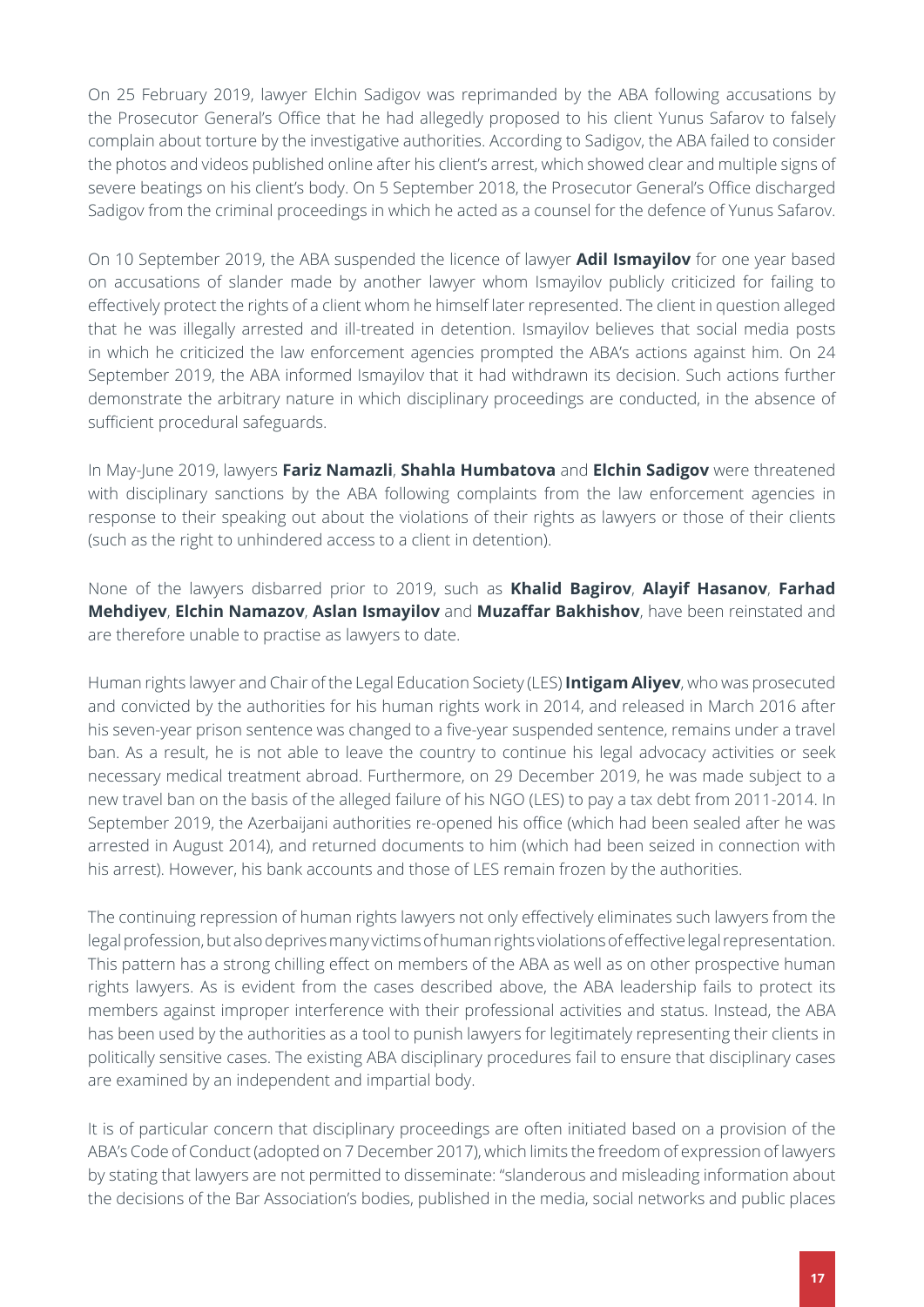On 25 February 2019, lawyer Elchin Sadigov was reprimanded by the ABA following accusations by the Prosecutor General's Office that he had allegedly proposed to his client Yunus Safarov to falsely complain about torture by the investigative authorities. According to Sadigov, the ABA failed to consider the photos and videos published online after his client's arrest, which showed clear and multiple signs of severe beatings on his client's body. On 5 September 2018, the Prosecutor General's Office discharged Sadigov from the criminal proceedings in which he acted as a counsel for the defence of Yunus Safarov.

On 10 September 2019, the ABA suspended the licence of lawyer **Adil Ismayilov** for one year based on accusations of slander made by another lawyer whom Ismayilov publicly criticized for failing to effectively protect the rights of a client whom he himself later represented. The client in question alleged that he was illegally arrested and ill-treated in detention. Ismayilov believes that social media posts in which he criticized the law enforcement agencies prompted the ABA's actions against him. On 24 September 2019, the ABA informed Ismayilov that it had withdrawn its decision. Such actions further demonstrate the arbitrary nature in which disciplinary proceedings are conducted, in the absence of sufficient procedural safeguards.

In May-June 2019, lawyers **Fariz Namazli**, **Shahla Humbatova** and **Elchin Sadigov** were threatened with disciplinary sanctions by the ABA following complaints from the law enforcement agencies in response to their speaking out about the violations of their rights as lawyers or those of their clients (such as the right to unhindered access to a client in detention).

None of the lawyers disbarred prior to 2019, such as **Khalid Bagirov**, **Alayif Hasanov**, **Farhad Mehdiyev**, **Elchin Namazov**, **Aslan Ismayilov** and **Muzaffar Bakhishov**, have been reinstated and are therefore unable to practise as lawyers to date.

Human rights lawyer and Chair of the Legal Education Society (LES) **Intigam Aliyev**, who was prosecuted and convicted by the authorities for his human rights work in 2014, and released in March 2016 after his seven-year prison sentence was changed to a five-year suspended sentence, remains under a travel ban. As a result, he is not able to leave the country to continue his legal advocacy activities or seek necessary medical treatment abroad. Furthermore, on 29 December 2019, he was made subject to a new travel ban on the basis of the alleged failure of his NGO (LES) to pay a tax debt from 2011-2014. In September 2019, the Azerbaijani authorities re-opened his office (which had been sealed after he was arrested in August 2014), and returned documents to him (which had been seized in connection with his arrest). However, his bank accounts and those of LES remain frozen by the authorities.

The continuing repression of human rights lawyers not only effectively eliminates such lawyers from the legal profession, but also deprives many victims of human rights violations of effective legal representation. This pattern has a strong chilling effect on members of the ABA as well as on other prospective human rights lawyers. As is evident from the cases described above, the ABA leadership fails to protect its members against improper interference with their professional activities and status. Instead, the ABA has been used by the authorities as a tool to punish lawyers for legitimately representing their clients in politically sensitive cases. The existing ABA disciplinary procedures fail to ensure that disciplinary cases are examined by an independent and impartial body.

It is of particular concern that disciplinary proceedings are often initiated based on a provision of the ABA's Code of Conduct (adopted on 7 December 2017), which limits the freedom of expression of lawyers by stating that lawyers are not permitted to disseminate: "slanderous and misleading information about the decisions of the Bar Association's bodies, published in the media, social networks and public places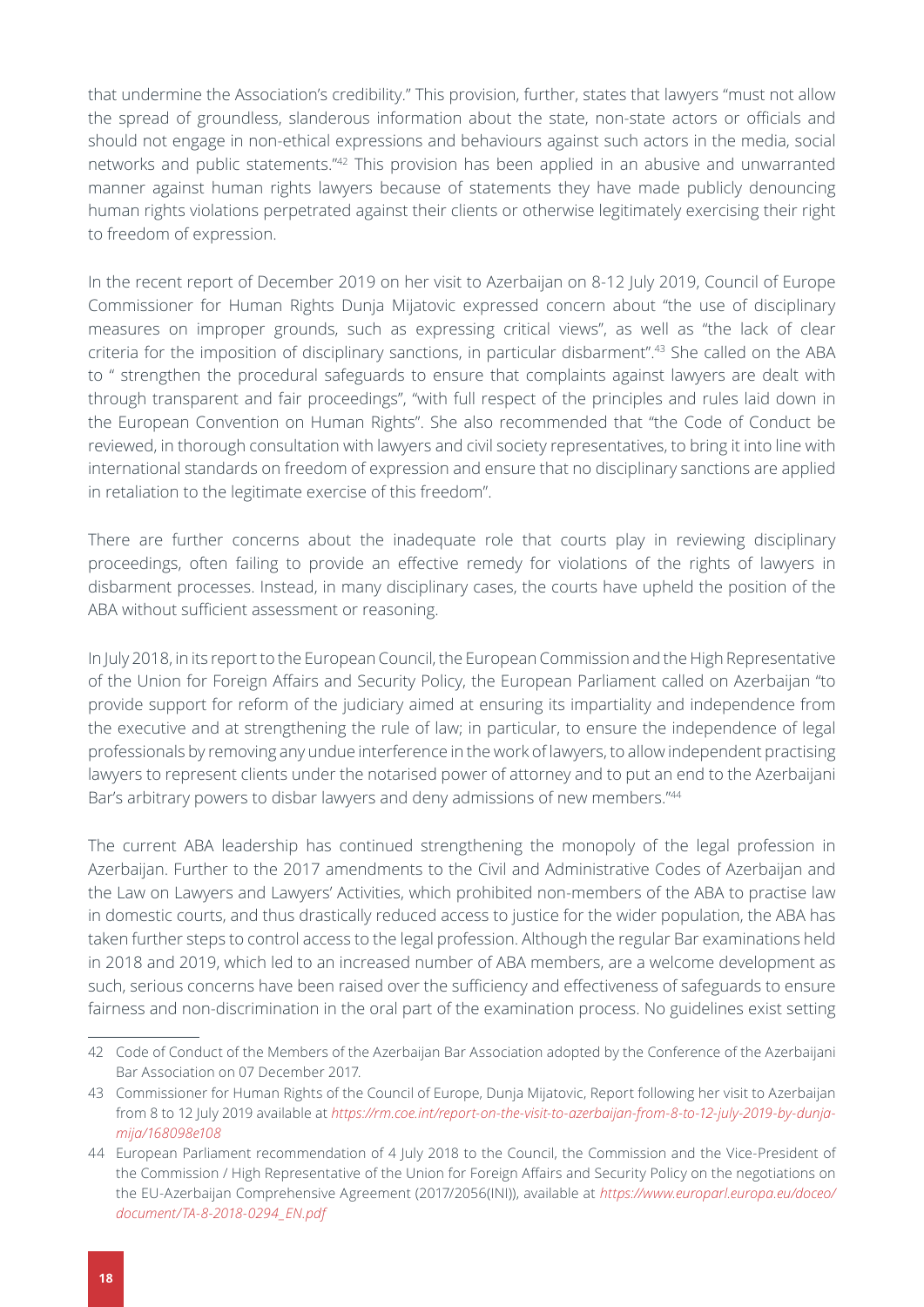that undermine the Association's credibility." This provision, further, states that lawyers "must not allow the spread of groundless, slanderous information about the state, non-state actors or officials and should not engage in non-ethical expressions and behaviours against such actors in the media, social networks and public statements."42 This provision has been applied in an abusive and unwarranted manner against human rights lawyers because of statements they have made publicly denouncing human rights violations perpetrated against their clients or otherwise legitimately exercising their right to freedom of expression.

In the recent report of December 2019 on her visit to Azerbaijan on 8-12 July 2019, Council of Europe Commissioner for Human Rights Dunja Mijatovic expressed concern about "the use of disciplinary measures on improper grounds, such as expressing critical views", as well as "the lack of clear criteria for the imposition of disciplinary sanctions, in particular disbarment".43 She called on the ABA to " strengthen the procedural safeguards to ensure that complaints against lawyers are dealt with through transparent and fair proceedings", "with full respect of the principles and rules laid down in the European Convention on Human Rights". She also recommended that "the Code of Conduct be reviewed, in thorough consultation with lawyers and civil society representatives, to bring it into line with international standards on freedom of expression and ensure that no disciplinary sanctions are applied in retaliation to the legitimate exercise of this freedom".

There are further concerns about the inadequate role that courts play in reviewing disciplinary proceedings, often failing to provide an effective remedy for violations of the rights of lawyers in disbarment processes. Instead, in many disciplinary cases, the courts have upheld the position of the ABA without sufficient assessment or reasoning.

In July 2018, in its report to the European Council, the European Commission and the High Representative of the Union for Foreign Affairs and Security Policy, the European Parliament called on Azerbaijan "to provide support for reform of the judiciary aimed at ensuring its impartiality and independence from the executive and at strengthening the rule of law; in particular, to ensure the independence of legal professionals by removing any undue interference in the work of lawyers, to allow independent practising lawyers to represent clients under the notarised power of attorney and to put an end to the Azerbaijani Bar's arbitrary powers to disbar lawyers and deny admissions of new members."44

The current ABA leadership has continued strengthening the monopoly of the legal profession in Azerbaijan. Further to the 2017 amendments to the Civil and Administrative Codes of Azerbaijan and the Law on Lawyers and Lawyers' Activities, which prohibited non-members of the ABA to practise law in domestic courts, and thus drastically reduced access to justice for the wider population, the ABA has taken further steps to control access to the legal profession. Although the regular Bar examinations held in 2018 and 2019, which led to an increased number of ABA members, are a welcome development as such, serious concerns have been raised over the sufficiency and effectiveness of safeguards to ensure fairness and non-discrimination in the oral part of the examination process. No guidelines exist setting

<sup>42</sup> Code of Conduct of the Members of the Azerbaijan Bar Association adopted by the Conference of the Azerbaijani Bar Association on 07 December 2017.

<sup>43</sup> Commissioner for Human Rights of the Council of Europe, Dunja Mijatovic, Report following her visit to Azerbaijan from 8 to 12 July 2019 available at *[https://rm.coe.int/report-on-the-visit-to-azerbaijan-from-8-to-12-july-2019-by-dunja](https://rm.coe.int/report-on-the-visit-to-azerbaijan-from-8-to-12-july-2019-by-dunja-mija/168098e108)[mija/168098e108](https://rm.coe.int/report-on-the-visit-to-azerbaijan-from-8-to-12-july-2019-by-dunja-mija/168098e108)*

<sup>44</sup> European Parliament recommendation of 4 July 2018 to the Council, the Commission and the Vice-President of the Commission / High Representative of the Union for Foreign Affairs and Security Policy on the negotiations on the EU-Azerbaijan Comprehensive Agreement (2017/2056(INI)), available at *[https://www.europarl.europa.eu/doceo/](https://www.europarl.europa.eu/doceo/document/TA-8-2018-0294_EN.pdf) [document/TA-8-2018-0294\\_EN.pdf](https://www.europarl.europa.eu/doceo/document/TA-8-2018-0294_EN.pdf)*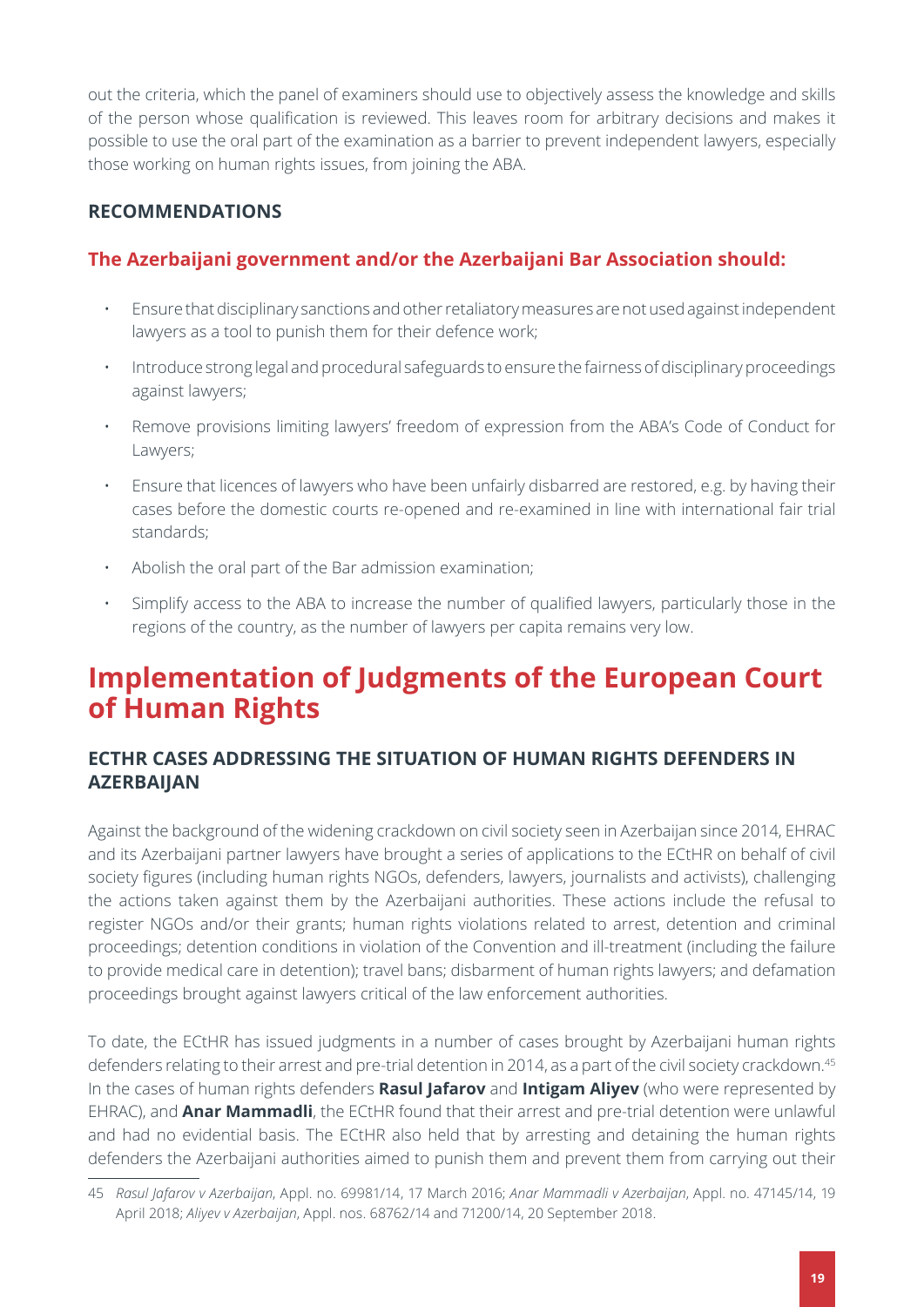<span id="page-18-1"></span>out the criteria, which the panel of examiners should use to objectively assess the knowledge and skills of the person whose qualification is reviewed. This leaves room for arbitrary decisions and makes it possible to use the oral part of the examination as a barrier to prevent independent lawyers, especially those working on human rights issues, from joining the ABA.

## <span id="page-18-0"></span>**RECOMMENDATIONS**

## **The Azerbaijani government and/or the Azerbaijani Bar Association should:**

- Ensure that disciplinary sanctions and other retaliatory measures are not used against independent lawyers as a tool to punish them for their defence work;
- Introduce strong legal and procedural safeguards to ensure the fairness of disciplinary proceedings against lawyers;
- Remove provisions limiting lawyers' freedom of expression from the ABA's Code of Conduct for Lawyers;
- Ensure that licences of lawyers who have been unfairly disbarred are restored, e.g. by having their cases before the domestic courts re-opened and re-examined in line with international fair trial standards;
- Abolish the oral part of the Bar admission examination;
- Simplify access to the ABA to increase the number of qualified lawyers, particularly those in the regions of the country, as the number of lawyers per capita remains very low.

# <span id="page-18-2"></span>**Implementation of Judgments of the European Court of Human Rights**

### <span id="page-18-3"></span>**ECTHR CASES ADDRESSING THE SITUATION OF HUMAN RIGHTS DEFENDERS IN AZERBAIJAN**

Against the background of the widening crackdown on civil society seen in Azerbaijan since 2014, EHRAC and its Azerbaijani partner lawyers have brought a series of applications to the ECtHR on behalf of civil society figures (including human rights NGOs, defenders, lawyers, journalists and activists), challenging the actions taken against them by the Azerbaijani authorities. These actions include the refusal to register NGOs and/or their grants; human rights violations related to arrest, detention and criminal proceedings; detention conditions in violation of the Convention and ill-treatment (including the failure to provide medical care in detention); travel bans; disbarment of human rights lawyers; and defamation proceedings brought against lawyers critical of the law enforcement authorities.

To date, the ECtHR has issued judgments in a number of cases brought by Azerbaijani human rights defenders relating to their arrest and pre-trial detention in 2014, as a part of the civil society crackdown.<sup>45</sup> In the cases of human rights defenders **Rasul Jafarov** and **Intigam Aliyev** (who were represented by EHRAC), and **Anar Mammadli**, the ECtHR found that their arrest and pre-trial detention were unlawful and had no evidential basis. The ECtHR also held that by arresting and detaining the human rights defenders the Azerbaijani authorities aimed to punish them and prevent them from carrying out their

<sup>45</sup> *Rasul Jafarov v Azerbaijan*, Appl. no. 69981/14, 17 March 2016; *Anar Mammadli v Azerbaijan*, Appl. no. 47145/14, 19 April 2018; *Aliyev v Azerbaijan*, Appl. nos. 68762/14 and 71200/14, 20 September 2018.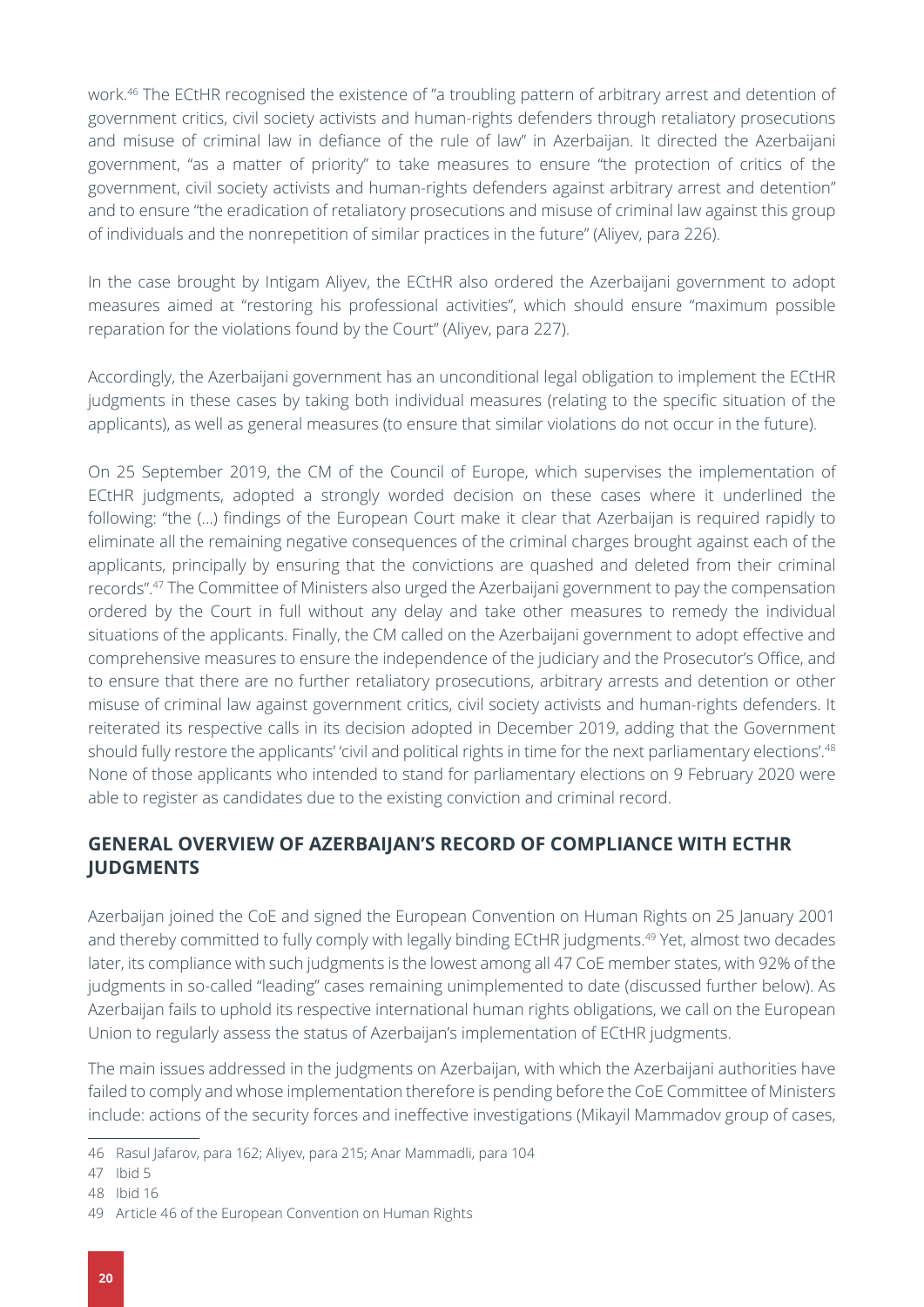<span id="page-19-0"></span>work.46 The ECtHR recognised the existence of "a troubling pattern of arbitrary arrest and detention of government critics, civil society activists and human-rights defenders through retaliatory prosecutions and misuse of criminal law in defiance of the rule of law" in Azerbaijan. It directed the Azerbaijani government, "as a matter of priority" to take measures to ensure "the protection of critics of the government, civil society activists and human-rights defenders against arbitrary arrest and detention" and to ensure "the eradication of retaliatory prosecutions and misuse of criminal law against this group of individuals and the nonrepetition of similar practices in the future" (Aliyev, para 226).

In the case brought by Intigam Aliyev, the ECtHR also ordered the Azerbaijani government to adopt measures aimed at "restoring his professional activities", which should ensure "maximum possible reparation for the violations found by the Court" (Aliyev, para 227).

Accordingly, the Azerbaijani government has an unconditional legal obligation to implement the ECtHR judgments in these cases by taking both individual measures (relating to the specific situation of the applicants), as well as general measures (to ensure that similar violations do not occur in the future).

On 25 September 2019, the CM of the Council of Europe, which supervises the implementation of ECtHR judgments, adopted a strongly worded decision on these cases where it underlined the following: "the (…) findings of the European Court make it clear that Azerbaijan is required rapidly to eliminate all the remaining negative consequences of the criminal charges brought against each of the applicants, principally by ensuring that the convictions are quashed and deleted from their criminal records".47 The Committee of Ministers also urged the Azerbaijani government to pay the compensation ordered by the Court in full without any delay and take other measures to remedy the individual situations of the applicants. Finally, the CM called on the Azerbaijani government to adopt effective and comprehensive measures to ensure the independence of the judiciary and the Prosecutor's Office, and to ensure that there are no further retaliatory prosecutions, arbitrary arrests and detention or other misuse of criminal law against government critics, civil society activists and human-rights defenders. It reiterated its respective calls in its decision adopted in December 2019, adding that the Government should fully restore the applicants' 'civil and political rights in time for the next parliamentary elections'.<sup>48</sup> None of those applicants who intended to stand for parliamentary elections on 9 February 2020 were able to register as candidates due to the existing conviction and criminal record.

### **GENERAL OVERVIEW OF AZERBAIJAN'S RECORD OF COMPLIANCE WITH ECTHR JUDGMENTS**

Azerbaijan joined the CoE and signed the European Convention on Human Rights on 25 January 2001 and thereby committed to fully comply with legally binding ECtHR judgments.49 Yet, almost two decades later, its compliance with such judgments is the lowest among all 47 CoE member states, with 92% of the judgments in so-called "leading" cases remaining unimplemented to date (discussed further below). As Azerbaijan fails to uphold its respective international human rights obligations, we call on the European Union to regularly assess the status of Azerbaijan's implementation of ECtHR judgments.

The main issues addressed in the judgments on Azerbaijan, with which the Azerbaijani authorities have failed to comply and whose implementation therefore is pending before the CoE Committee of Ministers include: actions of the security forces and ineffective investigations (Mikayil Mammadov group of cases,

<sup>46</sup> Rasul Jafarov, para 162; Aliyev, para 215; Anar Mammadli, para 104

<sup>47</sup> Ibid 5

<sup>48</sup> Ibid 16

<sup>49</sup> Article 46 of the European Convention on Human Rights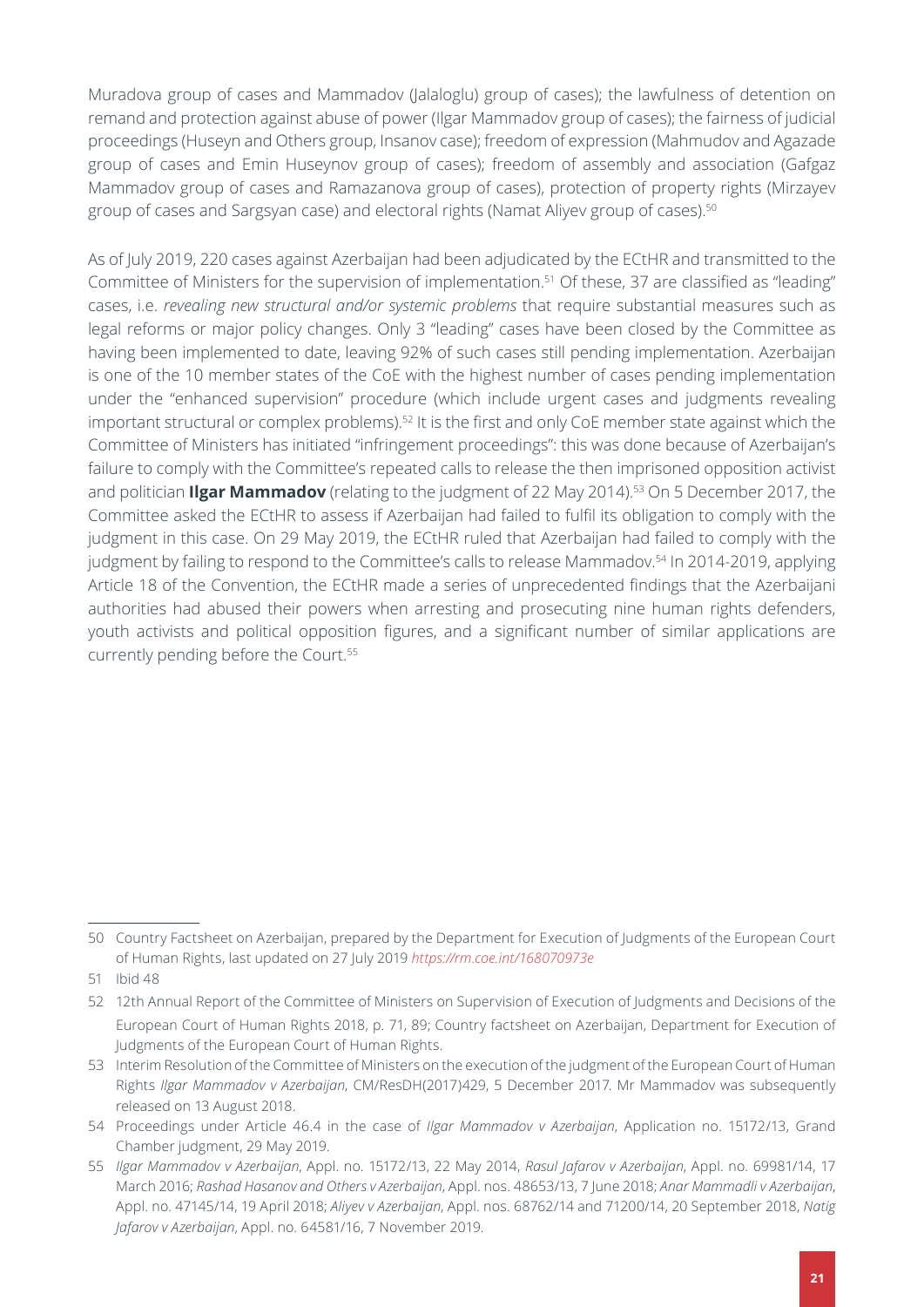Muradova group of cases and Mammadov (Jalaloglu) group of cases); the lawfulness of detention on remand and protection against abuse of power (Ilgar Mammadov group of cases); the fairness of judicial proceedings (Huseyn and Others group, Insanov case); freedom of expression (Mahmudov and Agazade group of cases and Emin Huseynov group of cases); freedom of assembly and association (Gafgaz Mammadov group of cases and Ramazanova group of cases), protection of property rights (Mirzayev group of cases and Sargsyan case) and electoral rights (Namat Aliyev group of cases).<sup>50</sup>

As of July 2019, 220 cases against Azerbaijan had been adjudicated by the ECtHR and transmitted to the Committee of Ministers for the supervision of implementation.<sup>51</sup> Of these, 37 are classified as "leading" cases, i.e. *revealing new structural and/or systemic problems* that require substantial measures such as legal reforms or major policy changes. Only 3 "leading" cases have been closed by the Committee as having been implemented to date, leaving 92% of such cases still pending implementation. Azerbaijan is one of the 10 member states of the CoE with the highest number of cases pending implementation under the "enhanced supervision" procedure (which include urgent cases and judgments revealing important structural or complex problems).<sup>52</sup> It is the first and only CoE member state against which the Committee of Ministers has initiated "infringement proceedings": this was done because of Azerbaijan's failure to comply with the Committee's repeated calls to release the then imprisoned opposition activist and politician **Ilgar Mammadov** (relating to the judgment of 22 May 2014).<sup>53</sup> On 5 December 2017, the Committee asked the ECtHR to assess if Azerbaijan had failed to fulfil its obligation to comply with the judgment in this case. On 29 May 2019, the ECtHR ruled that Azerbaijan had failed to comply with the judgment by failing to respond to the Committee's calls to release Mammadov.<sup>54</sup> In 2014-2019, applying Article 18 of the Convention, the ECtHR made a series of unprecedented findings that the Azerbaijani authorities had abused their powers when arresting and prosecuting nine human rights defenders, youth activists and political opposition figures, and a significant number of similar applications are currently pending before the Court.<sup>55</sup>

<sup>50</sup> Country Factsheet on Azerbaijan, prepared by the Department for Execution of Judgments of the European Court of Human Rights, last updated on 27 July 2019 *<https://rm.coe.int/168070973e>*

<sup>51</sup> Ibid 48

<sup>52</sup> [12th Annual Report](https://rm.coe.int/annual-report-2018/168093f3da) of the Committee of Ministers on Supervision of Execution of Judgments and Decisions of the European Court of Human Rights 2018, p. 71, 89; [Country factsheet on Azerbaijan,](https://rm.coe.int/168070973e) Department for Execution of Judgments of the European Court of Human Rights.

<sup>53</sup> Interim Resolution of the Committee of Ministers on the execution of the judgment of the European Court of Human Rights *Ilgar Mammadov v Azerbaijan*, CM/ResDH(2017)429, 5 December 2017. Mr Mammadov was subsequently released on 13 August 2018.

<sup>54</sup> Proceedings under Article 46.4 in the case of *Ilgar Mammadov v Azerbaijan*, Application no. 15172/13, Grand Chamber judgment, 29 May 2019.

<sup>55</sup> *Ilgar Mammadov v Azerbaijan*, Appl. no. 15172/13, 22 May 2014, *Rasul Jafarov v Azerbaijan*, Appl. no. 69981/14, 17 March 2016; *Rashad Hasanov and Others v Azerbaijan*, Appl. nos. 48653/13, 7 June 2018; *Anar Mammadli v Azerbaijan*, Appl. no. 47145/14, 19 April 2018; *Aliyev v Azerbaijan*, Appl. nos. 68762/14 and 71200/14, 20 September 2018, *Natig Jafarov v Azerbaijan*, Appl. no. 64581/16, 7 November 2019.